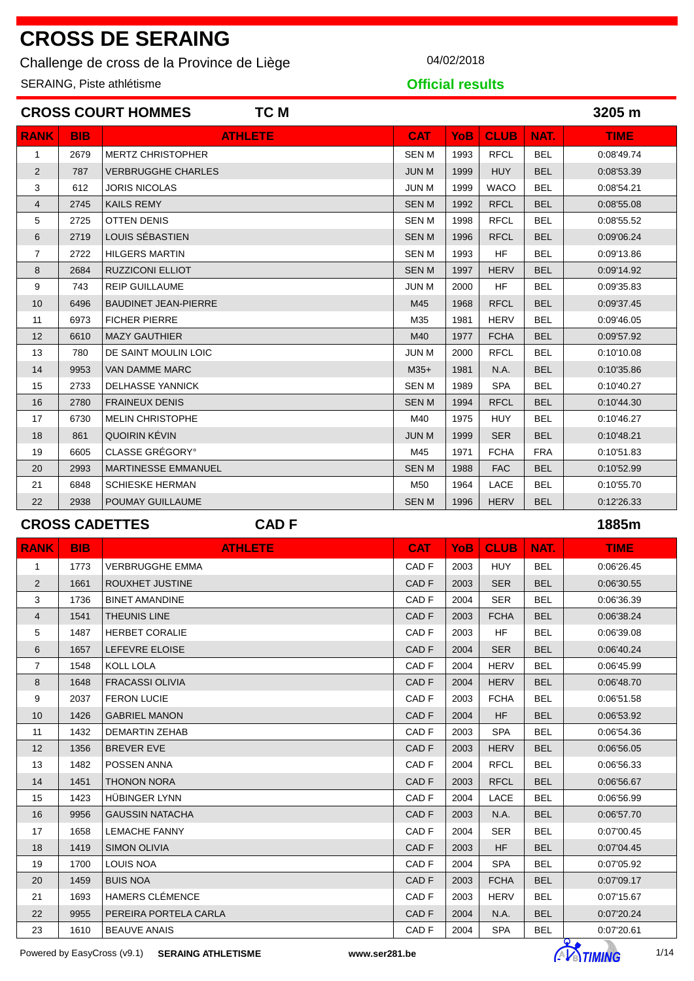Challenge de cross de la Province de Liège **04/02/2018** 

SERAING, Piste athlétisme

**Official results**

|                |            | <b>CROSS COURT HOMMES</b><br><b>TCM</b> |              |      |             |            | 3205 m      |
|----------------|------------|-----------------------------------------|--------------|------|-------------|------------|-------------|
| <b>RANK</b>    | <b>BIB</b> | <b>ATHLETE</b>                          | <b>CAT</b>   | YoB  | <b>CLUB</b> | NAT.       | <b>TIME</b> |
| $\mathbf{1}$   | 2679       | <b>MERTZ CHRISTOPHER</b>                | <b>SENM</b>  | 1993 | <b>RFCL</b> | <b>BEL</b> | 0:08'49.74  |
| 2              | 787        | <b>VERBRUGGHE CHARLES</b>               | <b>JUN M</b> | 1999 | <b>HUY</b>  | <b>BEL</b> | 0:08'53.39  |
| 3              | 612        | <b>JORIS NICOLAS</b>                    | <b>JUN M</b> | 1999 | <b>WACO</b> | <b>BEL</b> | 0:08'54.21  |
| $\overline{4}$ | 2745       | <b>KAILS REMY</b>                       | <b>SENM</b>  | 1992 | <b>RFCL</b> | <b>BEL</b> | 0:08'55.08  |
| 5              | 2725       | <b>OTTEN DENIS</b>                      | <b>SENM</b>  | 1998 | <b>RFCL</b> | <b>BEL</b> | 0:08'55.52  |
| 6              | 2719       | LOUIS SÉBASTIEN                         | <b>SENM</b>  | 1996 | <b>RFCL</b> | <b>BEL</b> | 0:09'06.24  |
| $\overline{7}$ | 2722       | <b>HILGERS MARTIN</b>                   | <b>SENM</b>  | 1993 | <b>HF</b>   | <b>BEL</b> | 0:09'13.86  |
| 8              | 2684       | <b>RUZZICONI ELLIOT</b>                 | <b>SENM</b>  | 1997 | <b>HERV</b> | <b>BEL</b> | 0:09'14.92  |
| 9              | 743        | <b>REIP GUILLAUME</b>                   | <b>JUN M</b> | 2000 | <b>HF</b>   | <b>BEL</b> | 0:09'35.83  |
| 10             | 6496       | <b>BAUDINET JEAN-PIERRE</b>             | M45          | 1968 | <b>RFCL</b> | <b>BEL</b> | 0:09'37.45  |
| 11             | 6973       | <b>FICHER PIERRE</b>                    | M35          | 1981 | <b>HERV</b> | <b>BEL</b> | 0:09'46.05  |
| 12             | 6610       | <b>MAZY GAUTHIER</b>                    | M40          | 1977 | <b>FCHA</b> | <b>BEL</b> | 0:09'57.92  |
| 13             | 780        | DE SAINT MOULIN LOIC                    | <b>JUN M</b> | 2000 | <b>RFCL</b> | <b>BEL</b> | 0:10'10.08  |
| 14             | 9953       | <b>VAN DAMME MARC</b>                   | $M35+$       | 1981 | N.A.        | <b>BEL</b> | 0:10'35.86  |
| 15             | 2733       | <b>DELHASSE YANNICK</b>                 | <b>SENM</b>  | 1989 | <b>SPA</b>  | <b>BEL</b> | 0:10'40.27  |
| 16             | 2780       | <b>FRAINEUX DENIS</b>                   | <b>SENM</b>  | 1994 | <b>RFCL</b> | <b>BEL</b> | 0:10'44.30  |
| 17             | 6730       | <b>MELIN CHRISTOPHE</b>                 | M40          | 1975 | <b>HUY</b>  | <b>BEL</b> | 0:10'46.27  |
| 18             | 861        | QUOIRIN KÉVIN                           | <b>JUN M</b> | 1999 | <b>SER</b>  | <b>BEL</b> | 0:10'48.21  |
| 19             | 6605       | CLASSE GRÉGORY <sup>®</sup>             | M45          | 1971 | <b>FCHA</b> | <b>FRA</b> | 0:10'51.83  |
| 20             | 2993       | <b>MARTINESSE EMMANUEL</b>              | <b>SENM</b>  | 1988 | <b>FAC</b>  | <b>BEL</b> | 0:10'52.99  |
| 21             | 6848       | <b>SCHIESKE HERMAN</b>                  | M50          | 1964 | LACE        | <b>BEL</b> | 0:10'55.70  |
| 22             | 2938       | POUMAY GUILLAUME                        | <b>SENM</b>  | 1996 | <b>HERV</b> | <b>BEL</b> | 0:12'26.33  |

### **CROSS CADETTES CAD F 1885m**

| <b>RANK</b>    | <b>BIB</b> | <b>ATHLETE</b>                                           | <b>CAT</b>       | <b>YoB</b> | <b>CLUB</b> | NAT.       | <b>TIME</b> |
|----------------|------------|----------------------------------------------------------|------------------|------------|-------------|------------|-------------|
| $\mathbf{1}$   | 1773       | <b>VERBRUGGHE EMMA</b>                                   | CAD <sub>F</sub> | 2003       | <b>HUY</b>  | <b>BEL</b> | 0:06'26.45  |
| 2              | 1661       | <b>ROUXHET JUSTINE</b>                                   | CAD <sub>F</sub> | 2003       | <b>SER</b>  | <b>BEL</b> | 0:06'30.55  |
| 3              | 1736       | <b>BINET AMANDINE</b>                                    | CAD <sub>F</sub> | 2004       | <b>SER</b>  | <b>BEL</b> | 0:06'36.39  |
| 4              | 1541       | <b>THEUNIS LINE</b>                                      | CAD <sub>F</sub> | 2003       | <b>FCHA</b> | <b>BEL</b> | 0:06'38.24  |
| 5              | 1487       | <b>HERBET CORALIE</b><br>CAD <sub>F</sub><br>2003        |                  |            | <b>HF</b>   | <b>BEL</b> | 0:06'39.08  |
| 6              | 1657       | LEFEVRE ELOISE<br>CAD <sub>F</sub><br><b>SER</b><br>2004 |                  | <b>BEL</b> | 0:06'40.24  |            |             |
| $\overline{7}$ | 1548       | <b>KOLL LOLA</b>                                         | CAD <sub>F</sub> | 2004       | <b>HERV</b> | <b>BEL</b> | 0:06'45.99  |
| 8              | 1648       | <b>FRACASSI OLIVIA</b>                                   | CAD <sub>F</sub> | 2004       | <b>HERV</b> | <b>BEL</b> | 0:06'48.70  |
| 9              | 2037       | <b>FERON LUCIE</b>                                       | CAD <sub>F</sub> | 2003       | <b>FCHA</b> | <b>BEL</b> | 0:06'51.58  |
| 10             | 1426       | <b>GABRIEL MANON</b>                                     | CAD <sub>F</sub> | 2004       | <b>HF</b>   | <b>BEL</b> | 0:06'53.92  |
| 11             | 1432       | <b>DEMARTIN ZEHAB</b>                                    | CAD <sub>F</sub> | 2003       | <b>SPA</b>  | <b>BEL</b> | 0:06'54.36  |
| 12             | 1356       | <b>BREVER EVE</b>                                        | CAD <sub>F</sub> | 2003       | <b>HERV</b> | <b>BEL</b> | 0:06'56.05  |
| 13             | 1482       | POSSEN ANNA                                              | CAD <sub>F</sub> | 2004       | <b>RFCL</b> | <b>BEL</b> | 0:06'56.33  |
| 14             | 1451       | <b>THONON NORA</b>                                       | CAD <sub>F</sub> | 2003       | <b>RFCL</b> | <b>BEL</b> | 0:06'56.67  |
| 15             | 1423       | HÜBINGER LYNN                                            | CAD <sub>F</sub> | 2004       | LACE        | <b>BEL</b> | 0:06'56.99  |
| 16             | 9956       | <b>GAUSSIN NATACHA</b>                                   | CAD <sub>F</sub> | 2003       | N.A.        | <b>BEL</b> | 0:06'57.70  |
| 17             | 1658       | <b>LEMACHE FANNY</b>                                     | CAD <sub>F</sub> | 2004       | <b>SER</b>  | <b>BEL</b> | 0:07'00.45  |
| 18             | 1419       | <b>SIMON OLIVIA</b>                                      | CAD <sub>F</sub> | 2003       | <b>HF</b>   | <b>BEL</b> | 0:07'04.45  |
| 19             | 1700       | <b>LOUIS NOA</b>                                         | CAD <sub>F</sub> | 2004       | <b>SPA</b>  | <b>BEL</b> | 0:07'05.92  |
| 20             | 1459       | <b>BUIS NOA</b>                                          | CAD <sub>F</sub> | 2003       | <b>FCHA</b> | <b>BEL</b> | 0:07'09.17  |
| 21             | 1693       | <b>HAMERS CLÉMENCE</b>                                   | CAD <sub>F</sub> | 2003       | <b>HERV</b> | <b>BEL</b> | 0:07'15.67  |
| 22             | 9955       | PEREIRA PORTELA CARLA                                    | CAD <sub>F</sub> | 2004       | N.A.        | <b>BEL</b> | 0:07'20.24  |
| 23             | 1610       | <b>BEAUVE ANAIS</b>                                      | CAD <sub>F</sub> | 2004       | <b>SPA</b>  | <b>BEL</b> | 0:07'20.61  |

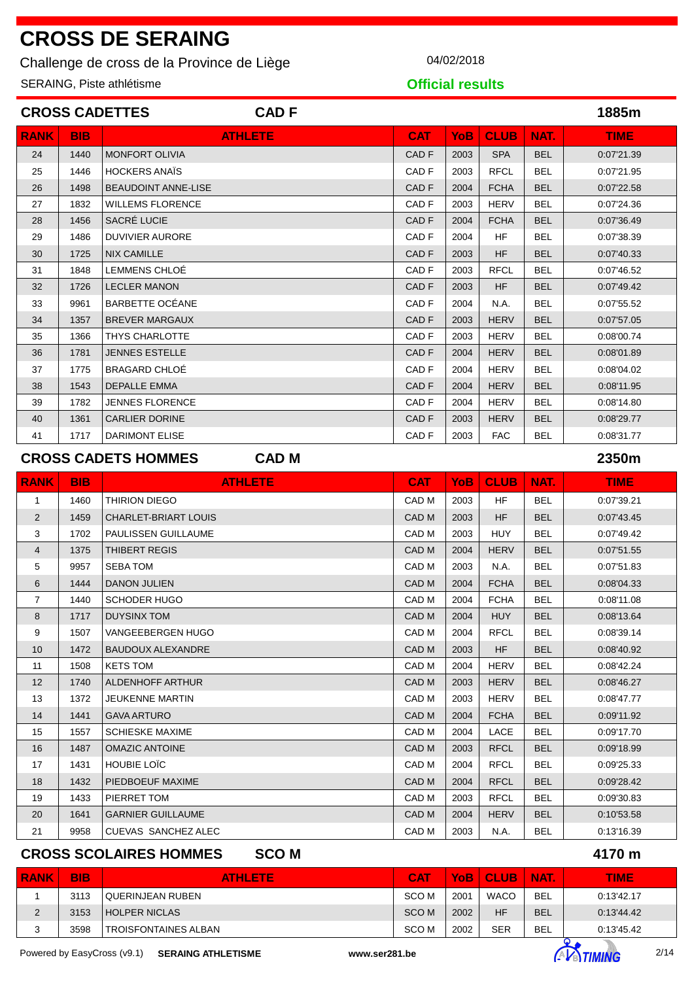Challenge de cross de la Province de Liège  $04/02/2018$ 

SERAING, Piste athlétisme

**Official results**

| <b>CROSS CADETTES</b><br><b>CADF</b> |            |                            |                  |      |             |            |             |  |
|--------------------------------------|------------|----------------------------|------------------|------|-------------|------------|-------------|--|
| <b>RANK</b>                          | <b>BIB</b> | <b>ATHLETE</b>             | <b>CAT</b>       | YoB. | <b>CLUB</b> | NAT.       | <b>TIME</b> |  |
| 24                                   | 1440       | <b>MONFORT OLIVIA</b>      | CAD <sub>F</sub> | 2003 | <b>SPA</b>  | <b>BEL</b> | 0:07'21.39  |  |
| 25                                   | 1446       | <b>HOCKERS ANAIS</b>       | CAD <sub>F</sub> | 2003 | <b>RFCL</b> | <b>BEL</b> | 0:07'21.95  |  |
| 26                                   | 1498       | <b>BEAUDOINT ANNE-LISE</b> | CAD <sub>F</sub> | 2004 | <b>FCHA</b> | <b>BEL</b> | 0:07'22.58  |  |
| 27                                   | 1832       | <b>WILLEMS FLORENCE</b>    | CAD <sub>F</sub> | 2003 | <b>HERV</b> | <b>BEL</b> | 0:07'24.36  |  |
| 28                                   | 1456       | SACRÉ LUCIE                | CAD <sub>F</sub> | 2004 | <b>FCHA</b> | <b>BEL</b> | 0:07'36.49  |  |
| 29                                   | 1486       | <b>DUVIVIER AURORE</b>     | CAD <sub>F</sub> | 2004 | <b>HF</b>   | <b>BEL</b> | 0:07'38.39  |  |
| 30                                   | 1725       | <b>NIX CAMILLE</b>         | CAD <sub>F</sub> | 2003 | <b>HF</b>   | <b>BEL</b> | 0:07'40.33  |  |
| 31                                   | 1848       | LEMMENS CHLOÉ              | CAD <sub>F</sub> | 2003 | <b>RFCL</b> | <b>BEL</b> | 0:07'46.52  |  |
| 32                                   | 1726       | <b>LECLER MANON</b>        | CAD <sub>F</sub> | 2003 | <b>HF</b>   | <b>BEL</b> | 0:07'49.42  |  |
| 33                                   | 9961       | BARBETTE OCÉANE            | CAD <sub>F</sub> | 2004 | N.A.        | <b>BEL</b> | 0:07'55.52  |  |
| 34                                   | 1357       | <b>BREVER MARGAUX</b>      | CAD <sub>F</sub> | 2003 | <b>HERV</b> | <b>BEL</b> | 0:07'57.05  |  |
| 35                                   | 1366       | <b>THYS CHARLOTTE</b>      | CAD <sub>F</sub> | 2003 | <b>HERV</b> | <b>BEL</b> | 0:08'00.74  |  |
| 36                                   | 1781       | <b>JENNES ESTELLE</b>      | CAD <sub>F</sub> | 2004 | <b>HERV</b> | <b>BEL</b> | 0:08'01.89  |  |
| 37                                   | 1775       | <b>BRAGARD CHLOE</b>       | CAD <sub>F</sub> | 2004 | <b>HERV</b> | <b>BEL</b> | 0:08'04.02  |  |
| 38                                   | 1543       | <b>DEPALLE EMMA</b>        | CAD <sub>F</sub> | 2004 | <b>HERV</b> | <b>BEL</b> | 0:08'11.95  |  |
| 39                                   | 1782       | <b>JENNES FLORENCE</b>     | CAD <sub>F</sub> | 2004 | <b>HERV</b> | <b>BEL</b> | 0:08'14.80  |  |
| 40                                   | 1361       | <b>CARLIER DORINE</b>      | CAD <sub>F</sub> | 2003 | <b>HERV</b> | <b>BEL</b> | 0:08'29.77  |  |
| 41                                   | 1717       | <b>DARIMONT ELISE</b>      | CAD <sub>F</sub> | 2003 | <b>FAC</b>  | <b>BEL</b> | 0:08'31.77  |  |

#### **CROSS CADETS HOMMES CAD M 2350m**

| <b>RANK</b>    | <b>BIB</b> | <b>ATHLETE</b>                                           | <b>CAT</b>                                     | <b>YoB</b> | <b>CLUB</b> | NAT.       | <b>TIME</b> |
|----------------|------------|----------------------------------------------------------|------------------------------------------------|------------|-------------|------------|-------------|
| $\mathbf{1}$   | 1460       | THIRION DIEGO                                            | CAD M                                          | 2003       | <b>HF</b>   | <b>BEL</b> | 0:07'39.21  |
| 2              | 1459       | CHARLET-BRIART LOUIS                                     | CAD <sub>M</sub>                               | 2003       | <b>HF</b>   | <b>BEL</b> | 0:07'43.45  |
| 3              | 1702       | <b>PAULISSEN GUILLAUME</b>                               | CAD M                                          | 2003       | <b>HUY</b>  | <b>BEL</b> | 0:07'49.42  |
| 4              | 1375       | THIBERT REGIS<br>CAD <sub>M</sub><br><b>HERV</b><br>2004 |                                                | <b>BEL</b> | 0:07'51.55  |            |             |
| 5              | 9957       | <b>SEBATOM</b>                                           | CAD <sub>M</sub><br><b>BEL</b><br>2003<br>N.A. |            | 0:07'51.83  |            |             |
| 6              | 1444       | <b>DANON JULIEN</b>                                      | CAD <sub>M</sub>                               | 2004       | <b>FCHA</b> | <b>BEL</b> | 0:08'04.33  |
| $\overline{7}$ | 1440       | <b>SCHODER HUGO</b>                                      | CAD M                                          | 2004       | <b>FCHA</b> | <b>BEL</b> | 0:08'11.08  |
| 8              | 1717       | <b>DUYSINX TOM</b>                                       | CAD <sub>M</sub>                               | 2004       | <b>HUY</b>  | <b>BEL</b> | 0:08'13.64  |
| 9              | 1507       | <b>VANGEEBERGEN HUGO</b>                                 | CAD M                                          | 2004       | <b>RFCL</b> | <b>BEL</b> | 0:08'39.14  |
| 10             | 1472       | <b>BAUDOUX ALEXANDRE</b>                                 | CAD <sub>M</sub>                               | 2003       | <b>HF</b>   | <b>BEL</b> | 0:08'40.92  |
| 11             | 1508       | <b>KETS TOM</b>                                          | CAD <sub>M</sub>                               | 2004       | <b>HERV</b> | <b>BEL</b> | 0:08'42.24  |
| 12             | 1740       | ALDENHOFF ARTHUR                                         | CAD <sub>M</sub>                               | 2003       | <b>HERV</b> | <b>BEL</b> | 0:08'46.27  |
| 13             | 1372       | <b>JEUKENNE MARTIN</b>                                   | CAD M                                          | 2003       | <b>HERV</b> | <b>BEL</b> | 0:08'47.77  |
| 14             | 1441       | <b>GAVA ARTURO</b>                                       | CAD <sub>M</sub>                               | 2004       | <b>FCHA</b> | <b>BEL</b> | 0:09'11.92  |
| 15             | 1557       | <b>SCHIESKE MAXIME</b>                                   | CAD M                                          | 2004       | LACE        | <b>BEL</b> | 0:09'17.70  |
| 16             | 1487       | <b>OMAZIC ANTOINE</b>                                    | CAD <sub>M</sub>                               | 2003       | <b>RFCL</b> | <b>BEL</b> | 0:09'18.99  |
| 17             | 1431       | <b>HOUBIE LOIC</b>                                       | CAD M                                          | 2004       | <b>RFCL</b> | <b>BEL</b> | 0:09'25.33  |
| 18             | 1432       | PIEDBOEUF MAXIME                                         | CAD <sub>M</sub>                               | 2004       | <b>RFCL</b> | <b>BEL</b> | 0:09'28.42  |
| 19             | 1433       | PIERRET TOM                                              | CAD <sub>M</sub>                               | 2003       | <b>RFCL</b> | <b>BEL</b> | 0:09'30.83  |
| 20             | 1641       | <b>GARNIER GUILLAUME</b>                                 | CAD <sub>M</sub>                               | 2004       | <b>HERV</b> | <b>BEL</b> | 0:10'53.58  |
| 21             | 9958       | <b>CUEVAS SANCHEZ ALEC</b>                               | CAD M                                          | 2003       | N.A.        | <b>BEL</b> | 0:13'16.39  |

#### **CROSS SCOLAIRES HOMMES SCO M 4170 m**

**RANK BIB ATHLETE CAT YoB CLUB NAT. TIME** 1 3113 QUERINJEAN RUBEN SCOM 2001 WACO BEL 0:13'42.17 2 3153 HOLPER NICLAS SCOM 2002 HF BEL 0:13'44.42 3 3598 TROISFONTAINES ALBAN SCOM 2002 SER BEL 0:13'45.42

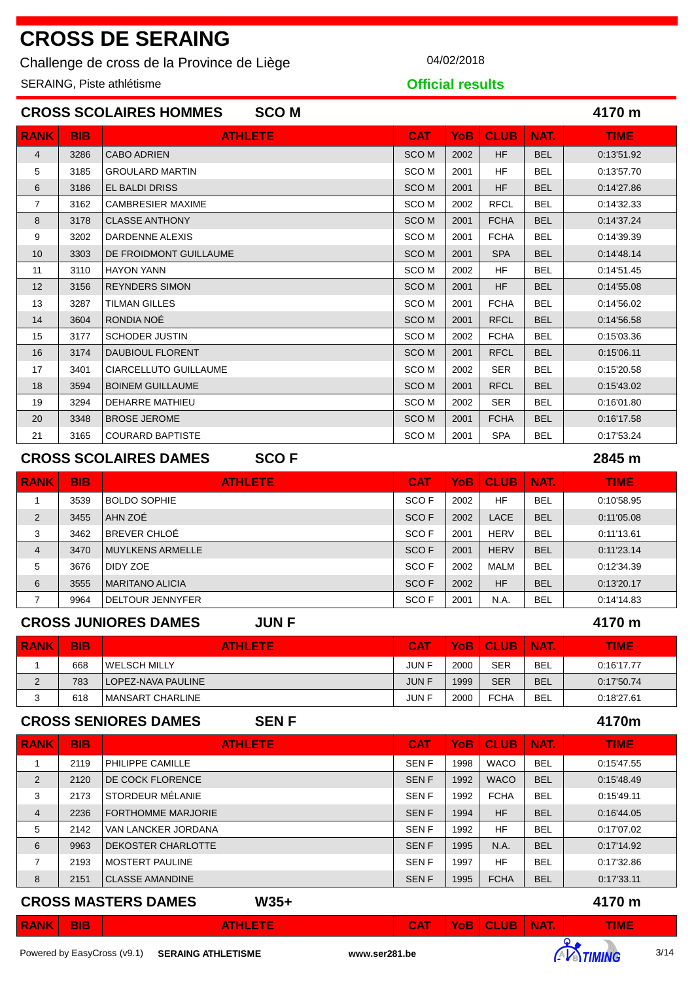Challenge de cross de la Province de Liège  $04/02/2018$ 

SERAING, Piste athlétisme

**Official results**

|                   |            | <b>CROSS SCOLAIRES HOMMES</b><br><b>SCOM</b> |                  |            |             |            | 4170 m      |
|-------------------|------------|----------------------------------------------|------------------|------------|-------------|------------|-------------|
| <b>RANK</b>       | <b>BIB</b> | <b>ATHLETE</b>                               | <b>CAT</b>       | <b>YoB</b> | <b>CLUB</b> | NAT.       | <b>TIME</b> |
| 4                 | 3286       | <b>CABO ADRIEN</b>                           | SCO <sub>M</sub> | 2002       | <b>HF</b>   | <b>BEL</b> | 0:13'51.92  |
| 5                 | 3185       | <b>GROULARD MARTIN</b>                       | SCO <sub>M</sub> | 2001       | <b>HF</b>   | <b>BEL</b> | 0:13'57.70  |
| 6                 | 3186       | <b>EL BALDI DRISS</b>                        | <b>SCOM</b>      | 2001       | <b>HF</b>   | <b>BEL</b> | 0:14'27.86  |
| $\overline{7}$    | 3162       | <b>CAMBRESIER MAXIME</b>                     | SCO <sub>M</sub> | 2002       | <b>RFCL</b> | <b>BEL</b> | 0:14'32.33  |
| 8                 | 3178       | <b>CLASSE ANTHONY</b>                        | <b>SCOM</b>      | 2001       | <b>FCHA</b> | <b>BEL</b> | 0:14'37.24  |
| 9                 | 3202       | DARDENNE ALEXIS                              | SCO <sub>M</sub> | 2001       | <b>FCHA</b> | <b>BEL</b> | 0:14'39.39  |
| 10                | 3303       | DE FROIDMONT GUILLAUME                       | <b>SCOM</b>      | 2001       | <b>SPA</b>  | <b>BEL</b> | 0.14'48.14  |
| 11                | 3110       | <b>HAYON YANN</b>                            | SCO <sub>M</sub> | 2002       | <b>HF</b>   | <b>BEL</b> | 0:14'51.45  |
| $12 \overline{ }$ | 3156       | <b>REYNDERS SIMON</b>                        | <b>SCOM</b>      | 2001       | <b>HF</b>   | <b>BEL</b> | 0:14'55.08  |
| 13                | 3287       | <b>TILMAN GILLES</b>                         | SCO <sub>M</sub> | 2001       | <b>FCHA</b> | <b>BEL</b> | 0:14'56.02  |
| 14                | 3604       | RONDIA NOÉ                                   | <b>SCOM</b>      | 2001       | <b>RFCL</b> | <b>BEL</b> | 0:14'56.58  |
| 15                | 3177       | <b>SCHODER JUSTIN</b>                        | SCO <sub>M</sub> | 2002       | <b>FCHA</b> | <b>BEL</b> | 0.15'03.36  |
| 16                | 3174       | <b>DAUBIOUL FLORENT</b>                      | <b>SCOM</b>      | 2001       | <b>RFCL</b> | <b>BEL</b> | 0:15'06.11  |
| 17                | 3401       | <b>CIARCELLUTO GUILLAUME</b>                 | SCO <sub>M</sub> | 2002       | <b>SER</b>  | <b>BEL</b> | 0:15'20.58  |
| 18                | 3594       | <b>BOINEM GUILLAUME</b>                      | <b>SCOM</b>      | 2001       | <b>RFCL</b> | <b>BEL</b> | 0:15'43.02  |
| 19                | 3294       | <b>DEHARRE MATHIEU</b>                       | SCO <sub>M</sub> | 2002       | <b>SER</b>  | <b>BEL</b> | 0:16'01.80  |
| 20                | 3348       | <b>BROSE JEROME</b>                          | <b>SCOM</b>      | 2001       | <b>FCHA</b> | <b>BEL</b> | 0:16'17.58  |
| 21                | 3165       | <b>COURARD BAPTISTE</b>                      | SCO <sub>M</sub> | 2001       | <b>SPA</b>  | <b>BEL</b> | 0.17'53.24  |

### **CROSS SCOLAIRES DAMES SCO F 2845 m**

**RANK BIB ATHLETE CAT YoB CLUB NAT. TIME** 1 3539 BOLDO SOPHIE SCO F 2002 HF BEL 0:10'58.95 3455 AHN ZOÉ SCO F 2002 LACE BEL 0:11'05.08 3 3 3462 BREVER CHLOÉ SCO F 2001 HERV BEL 0:11'13.61 4 3470 MUYLKENS ARMELLE SCOF 2001 HERV BEL 0:11'23.14 3676 DIDY ZOE SCO F 2002 MALM BEL 0:12'34.39 6 3555 MARITANO ALICIA SCO F 2002 HF BEL 0:13'20.17 7 9964 DELTOUR JENNYFER SCO F 2001 N.A. BEL 0:14'14.83

#### **CROSS JUNIORES DAMES JUN F 4170 m**

| <b>RANK</b> | <b>BIB</b> | <b>ATHLETE</b>     | <b>CAT</b>  | YoB : | <b>CLUB</b> | <b>NAT.</b> | TIME       |
|-------------|------------|--------------------|-------------|-------|-------------|-------------|------------|
|             | 668        | WELSCH MILLY       | <b>JUNF</b> | 2000  | <b>SER</b>  | <b>BEL</b>  | 0:16'17.77 |
| ◠<br>L      | 783        | LOPEZ-NAVA PAULINE | <b>JUNF</b> | 1999  | <b>SER</b>  | <b>BEL</b>  | 0:17'50.74 |
| ົ<br>IJ     | 618        | MANSART CHARLINE   | <b>JUNF</b> | 2000  | <b>FCHA</b> | <b>BEL</b>  | 0:18'27.61 |

#### **CROSS SENIORES DAMES SEN F 4170m**

| <b>RANK</b>    | <b>BIB</b> | <b>ATHLETE</b>            | <b>CAT</b>  | <b>YoB</b> | <b>CLUB</b> | NAT.       | <b>TIME</b> |
|----------------|------------|---------------------------|-------------|------------|-------------|------------|-------------|
|                | 2119       | PHILIPPE CAMILLE          | <b>SENF</b> | 1998       | <b>WACO</b> | <b>BEL</b> | 0:15'47.55  |
| $\overline{2}$ | 2120       | DE COCK FLORENCE          | <b>SENF</b> | 1992       | <b>WACO</b> | <b>BEL</b> | 0:15'48.49  |
| 3              | 2173       | STORDEUR MÉLANIE          | <b>SENF</b> | 1992       | <b>FCHA</b> | <b>BEL</b> | 0:15'49.11  |
| $\overline{4}$ | 2236       | <b>FORTHOMME MARJORIE</b> | <b>SENF</b> | 1994       | <b>HF</b>   | <b>BEL</b> | 0:16'44.05  |
| 5              | 2142       | VAN LANCKER JORDANA       | <b>SENF</b> | 1992       | <b>HF</b>   | <b>BEL</b> | 0:17'07.02  |
| 6              | 9963       | DEKOSTER CHARLOTTE        | <b>SENF</b> | 1995       | N.A.        | <b>BEL</b> | 0:17'14.92  |
| 7              | 2193       | MOSTERT PAULINE           | <b>SENF</b> | 1997       | <b>HF</b>   | <b>BEL</b> | 0:17'32.86  |
| 8              | 2151       | CLASSE AMANDINE           | <b>SENF</b> | 1995       | <b>FCHA</b> | <b>BEL</b> | 0:17'33.11  |

**CROSS MASTERS DAMES W35+ 4170 m**

| <b>RANK</b> | <b>BIB</b> | <b>ATHLETE</b>                                 |               | <b>CAT</b> | <b>YoB CLUB</b> | <b>WAT.</b> | 'IME             |      |
|-------------|------------|------------------------------------------------|---------------|------------|-----------------|-------------|------------------|------|
|             |            | Powered by EasyCross (v9.1) SERAING ATHLETISME | www.ser281.be |            |                 |             | <b>VB TIMING</b> | 3/14 |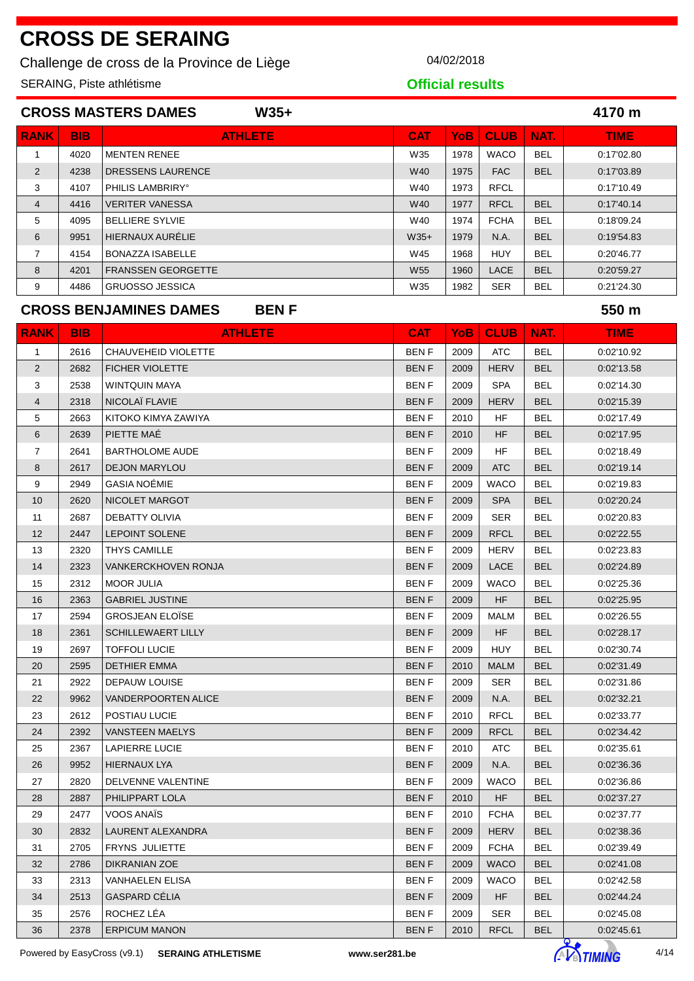Challenge de cross de la Province de Liège **04/02/2018** 

SERAING, Piste athlétisme

**Official results**

| <b>CROSS MASTERS DAMES</b><br>$W35+$<br>4170 m |            |                              |                 |            |             |            |             |  |  |
|------------------------------------------------|------------|------------------------------|-----------------|------------|-------------|------------|-------------|--|--|
| <b>RANK</b>                                    | <b>BIB</b> | <b>ATHLETE</b>               | <b>CAT</b>      | <b>YoB</b> | <b>CLUB</b> | NAT.       | <b>TIME</b> |  |  |
|                                                | 4020       | <b>MENTEN RENEE</b>          | W35             | 1978       | <b>WACO</b> | <b>BEL</b> | 0:17'02.80  |  |  |
| 2                                              | 4238       | <b>DRESSENS LAURENCE</b>     | W40             | 1975       | <b>FAC</b>  | <b>BEL</b> | 0:17'03.89  |  |  |
| 3                                              | 4107       | PHILIS LAMBRIRY <sup>®</sup> | W40             | 1973       | <b>RFCL</b> |            | 0:17'10.49  |  |  |
| $\overline{4}$                                 | 4416       | <b>VERITER VANESSA</b>       | W40             | 1977       | <b>RFCL</b> | <b>BEL</b> | 0:17'40.14  |  |  |
| 5                                              | 4095       | <b>BELLIERE SYLVIE</b>       | W40             | 1974       | <b>FCHA</b> | <b>BEL</b> | 0:18'09.24  |  |  |
| 6                                              | 9951       | HIERNAUX AURÉLIE             | $W35+$          | 1979       | N.A.        | <b>BEL</b> | 0:19'54.83  |  |  |
| 7                                              | 4154       | <b>BONAZZA ISABELLE</b>      | W45             | 1968       | <b>HUY</b>  | <b>BEL</b> | 0:20'46.77  |  |  |
| 8                                              | 4201       | <b>FRANSSEN GEORGETTE</b>    | W <sub>55</sub> | 1960       | <b>LACE</b> | <b>BEL</b> | 0:20'59.27  |  |  |
| 9                                              | 4486       | <b>GRUOSSO JESSICA</b>       | W35             | 1982       | <b>SER</b>  | <b>BEL</b> | 0:21'24.30  |  |  |

#### **CROSS BENJAMINES DAMES BEN F 550 m**

| <b>RANK</b>    | <b>BIB</b> | <b>ATHLETE</b>             | <b>CAT</b>  | YoB  | <b>CLUB</b> | NAT.       | <b>TIME</b> |
|----------------|------------|----------------------------|-------------|------|-------------|------------|-------------|
| $\mathbf{1}$   | 2616       | CHAUVEHEID VIOLETTE        | <b>BENF</b> | 2009 | <b>ATC</b>  | <b>BEL</b> | 0:02'10.92  |
| $\overline{2}$ | 2682       | <b>FICHER VIOLETTE</b>     | <b>BENF</b> | 2009 | <b>HERV</b> | <b>BEL</b> | 0:02'13.58  |
| 3              | 2538       | WINTQUIN MAYA              | BEN F       | 2009 | <b>SPA</b>  | <b>BEL</b> | 0:02'14.30  |
| $\overline{4}$ | 2318       | NICOLAÏ FLAVIE             | <b>BENF</b> | 2009 | <b>HERV</b> | <b>BEL</b> | 0:02'15.39  |
| 5              | 2663       | KITOKO KIMYA ZAWIYA        | <b>BENF</b> | 2010 | HF          | <b>BEL</b> | 0:02'17.49  |
| 6              | 2639       | PIETTE MAÉ                 | <b>BENF</b> | 2010 | <b>HF</b>   | <b>BEL</b> | 0:02'17.95  |
| $\overline{7}$ | 2641       | <b>BARTHOLOME AUDE</b>     | <b>BENF</b> | 2009 | HF          | <b>BEL</b> | 0:02'18.49  |
| 8              | 2617       | <b>DEJON MARYLOU</b>       | <b>BENF</b> | 2009 | ATC         | <b>BEL</b> | 0:02'19.14  |
| 9              | 2949       | GASIA NOÉMIE               | <b>BENF</b> | 2009 | <b>WACO</b> | <b>BEL</b> | 0:02'19.83  |
| 10             | 2620       | NICOLET MARGOT             | <b>BENF</b> | 2009 | <b>SPA</b>  | <b>BEL</b> | 0:02'20.24  |
| 11             | 2687       | DEBATTY OLIVIA             | <b>BENF</b> | 2009 | <b>SER</b>  | <b>BEL</b> | 0:02'20.83  |
| 12             | 2447       | <b>LEPOINT SOLENE</b>      | <b>BENF</b> | 2009 | <b>RFCL</b> | <b>BEL</b> | 0:02'22.55  |
| 13             | 2320       | <b>THYS CAMILLE</b>        | <b>BENF</b> | 2009 | <b>HERV</b> | <b>BEL</b> | 0:02'23.83  |
| 14             | 2323       | <b>VANKERCKHOVEN RONJA</b> | <b>BENF</b> | 2009 | <b>LACE</b> | <b>BEL</b> | 0:02'24.89  |
| 15             | 2312       | <b>MOOR JULIA</b>          | <b>BENF</b> | 2009 | <b>WACO</b> | <b>BEL</b> | 0:02'25.36  |
| 16             | 2363       | <b>GABRIEL JUSTINE</b>     | <b>BENF</b> | 2009 | HF          | <b>BEL</b> | 0:02'25.95  |
| 17             | 2594       | <b>GROSJEAN ELOÏSE</b>     | <b>BENF</b> | 2009 | <b>MALM</b> | <b>BEL</b> | 0:02'26.55  |
| 18             | 2361       | <b>SCHILLEWAERT LILLY</b>  | <b>BENF</b> | 2009 | <b>HF</b>   | <b>BEL</b> | 0:02'28.17  |
| 19             | 2697       | <b>TOFFOLI LUCIE</b>       | BEN F       | 2009 | HUY         | <b>BEL</b> | 0:02'30.74  |
| 20             | 2595       | <b>DETHIER EMMA</b>        | <b>BENF</b> | 2010 | <b>MALM</b> | <b>BEL</b> | 0:02'31.49  |
| 21             | 2922       | DEPAUW LOUISE              | <b>BENF</b> | 2009 | <b>SER</b>  | BEL        | 0:02'31.86  |
| 22             | 9962       | <b>VANDERPOORTEN ALICE</b> | <b>BENF</b> | 2009 | N.A.        | <b>BEL</b> | 0:02'32.21  |
| 23             | 2612       | POSTIAU LUCIE              | <b>BENF</b> | 2010 | <b>RFCL</b> | <b>BEL</b> | 0:02'33.77  |
| 24             | 2392       | <b>VANSTEEN MAELYS</b>     | <b>BENF</b> | 2009 | <b>RFCL</b> | <b>BEL</b> | 0:02'34.42  |
| 25             | 2367       | LAPIERRE LUCIE             | <b>BENF</b> | 2010 | <b>ATC</b>  | <b>BEL</b> | 0:02'35.61  |
| 26             | 9952       | <b>HIERNAUX LYA</b>        | <b>BENF</b> | 2009 | N.A.        | <b>BEL</b> | 0:02'36.36  |
| 27             | 2820       | DELVENNE VALENTINE         | <b>BENF</b> | 2009 | <b>WACO</b> | <b>BEL</b> | 0:02'36.86  |
| 28             | 2887       | PHILIPPART LOLA            | <b>BENF</b> | 2010 | <b>HF</b>   | <b>BEL</b> | 0:02'37.27  |
| 29             | 2477       | VOOS ANAÏS                 | BEN F       | 2010 | <b>FCHA</b> | <b>BEL</b> | 0:02'37.77  |
| 30             | 2832       | LAURENT ALEXANDRA          | <b>BENF</b> | 2009 | <b>HERV</b> | <b>BEL</b> | 0:02'38.36  |
| 31             | 2705       | FRYNS JULIETTE             | <b>BENF</b> | 2009 | <b>FCHA</b> | <b>BEL</b> | 0:02'39.49  |
| 32             | 2786       | DIKRANIAN ZOE              | <b>BENF</b> | 2009 | WACO        | <b>BEL</b> | 0:02'41.08  |
| 33             | 2313       | <b>VANHAELEN ELISA</b>     | <b>BENF</b> | 2009 | <b>WACO</b> | <b>BEL</b> | 0:02'42.58  |
| 34             | 2513       | <b>GASPARD CÉLIA</b>       | <b>BENF</b> | 2009 | HF.         | <b>BEL</b> | 0:02'44.24  |
| 35             | 2576       | ROCHEZ LÉA                 | <b>BENF</b> | 2009 | <b>SER</b>  | <b>BEL</b> | 0:02'45.08  |
| 36             | 2378       | <b>ERPICUM MANON</b>       | <b>BENF</b> | 2010 | <b>RFCL</b> | <b>BEL</b> | 0:02'45.61  |

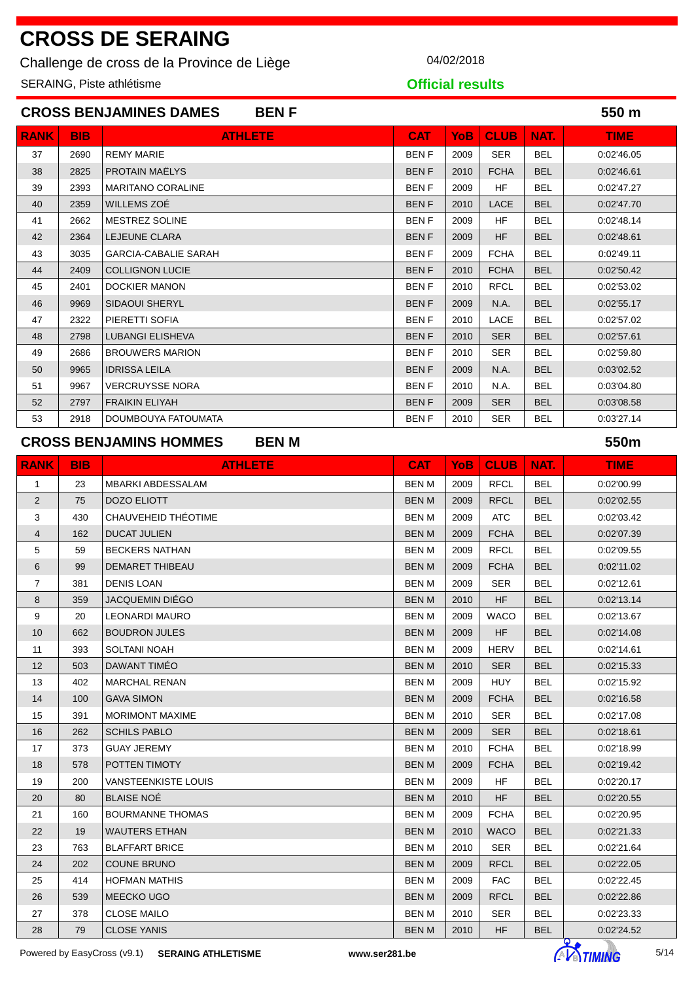Challenge de cross de la Province de Liège **04/02/2018** 

SERAING, Piste athlétisme

**Official results**

|             |            | <b>CROSS BENJAMINES DAMES</b><br><b>BENF</b> |             |            |             |            | 550 m       |
|-------------|------------|----------------------------------------------|-------------|------------|-------------|------------|-------------|
| <b>RANK</b> | <b>BIB</b> | <b>ATHLETE</b>                               | <b>CAT</b>  | <b>YoB</b> | <b>CLUB</b> | NAT.       | <b>TIME</b> |
| 37          | 2690       | <b>REMY MARIE</b>                            | <b>BENF</b> | 2009       | <b>SER</b>  | <b>BEL</b> | 0:02'46.05  |
| 38          | 2825       | PROTAIN MAËLYS                               | <b>BENF</b> | 2010       | <b>FCHA</b> | <b>BEL</b> | 0:02'46.61  |
| 39          | 2393       | <b>MARITANO CORALINE</b>                     | <b>BENF</b> | 2009       | HF          | <b>BEL</b> | 0:02'47.27  |
| 40          | 2359       | WILLEMS ZOÉ                                  | <b>BENF</b> | 2010       | <b>LACE</b> | <b>BEL</b> | 0:02'47.70  |
| 41          | 2662       | <b>MESTREZ SOLINE</b>                        | <b>BENF</b> | 2009       | <b>HF</b>   | <b>BEL</b> | 0:02'48.14  |
| 42          | 2364       | <b>LEJEUNE CLARA</b>                         | <b>BENF</b> | 2009       | <b>HF</b>   | <b>BEL</b> | 0:02'48.61  |
| 43          | 3035       | <b>GARCIA-CABALIE SARAH</b>                  | <b>BENF</b> | 2009       | <b>FCHA</b> | <b>BEL</b> | 0:02'49.11  |
| 44          | 2409       | <b>COLLIGNON LUCIE</b>                       | <b>BENF</b> | 2010       | <b>FCHA</b> | <b>BEL</b> | 0:02'50.42  |
| 45          | 2401       | <b>DOCKIER MANON</b>                         | <b>BENF</b> | 2010       | <b>RFCL</b> | <b>BEL</b> | 0:02'53.02  |
| 46          | 9969       | <b>SIDAOUI SHERYL</b>                        | <b>BENF</b> | 2009       | N.A.        | <b>BEL</b> | 0:02'55.17  |
| 47          | 2322       | PIERETTI SOFIA                               | <b>BENF</b> | 2010       | LACE        | <b>BEL</b> | 0:02'57.02  |
| 48          | 2798       | <b>LUBANGI ELISHEVA</b>                      | <b>BENF</b> | 2010       | <b>SER</b>  | <b>BEL</b> | 0:02'57.61  |
| 49          | 2686       | <b>BROUWERS MARION</b>                       | <b>BENF</b> | 2010       | <b>SER</b>  | <b>BEL</b> | 0.0259.80   |
| 50          | 9965       | <b>IDRISSA LEILA</b>                         | <b>BENF</b> | 2009       | N.A.        | <b>BEL</b> | 0:03'02.52  |
| 51          | 9967       | <b>VERCRUYSSE NORA</b>                       | <b>BENF</b> | 2010       | N.A.        | <b>BEL</b> | 0:03'04.80  |
| 52          | 2797       | <b>FRAIKIN ELIYAH</b>                        | <b>BENF</b> | 2009       | <b>SER</b>  | <b>BEL</b> | 0:03'08.58  |
| 53          | 2918       | DOUMBOUYA FATOUMATA                          | <b>BENF</b> | 2010       | <b>SER</b>  | <b>BEL</b> | 0:03'27.14  |

### **CROSS BENJAMINS HOMMES BEN M 550m**

| <b>RANK</b>    | <b>BIB</b> | <b>ATHLETE</b>             | <b>CAT</b>   | YoB  | <b>CLUB</b> | NAT.       | <b>TIME</b> |
|----------------|------------|----------------------------|--------------|------|-------------|------------|-------------|
| $\mathbf{1}$   | 23         | <b>MBARKI ABDESSALAM</b>   | <b>BENM</b>  | 2009 | <b>RFCL</b> | <b>BEL</b> | 0:02'00.99  |
| $\overline{2}$ | 75         | DOZO ELIOTT                | <b>BENM</b>  | 2009 | <b>RFCL</b> | <b>BEL</b> | 0:02'02.55  |
| 3              | 430        | CHAUVEHEID THÉOTIME        | <b>BENM</b>  | 2009 | <b>ATC</b>  | <b>BEL</b> | 0:02'03.42  |
| $\overline{4}$ | 162        | <b>DUCAT JULIEN</b>        | <b>BENM</b>  | 2009 | <b>FCHA</b> | <b>BEL</b> | 0:02'07.39  |
| 5              | 59         | <b>BECKERS NATHAN</b>      | <b>BENM</b>  | 2009 | <b>RFCL</b> | <b>BEL</b> | 0:02'09.55  |
| 6              | 99         | <b>DEMARET THIBEAU</b>     | <b>BENM</b>  | 2009 | <b>FCHA</b> | <b>BEL</b> | 0:02'11.02  |
| $\overline{7}$ | 381        | <b>DENIS LOAN</b>          | <b>BENM</b>  | 2009 | <b>SER</b>  | <b>BEL</b> | 0:02'12.61  |
| 8              | 359        | JACQUEMIN DIÉGO            | <b>BENM</b>  | 2010 | <b>HF</b>   | <b>BEL</b> | 0:02'13.14  |
| 9              | 20         | <b>LEONARDI MAURO</b>      | <b>BENM</b>  | 2009 | <b>WACO</b> | <b>BEL</b> | 0:02'13.67  |
| 10             | 662        | <b>BOUDRON JULES</b>       | <b>BENM</b>  | 2009 | <b>HF</b>   | <b>BEL</b> | 0:02'14.08  |
| 11             | 393        | SOLTANI NOAH               | <b>BENM</b>  | 2009 | <b>HERV</b> | <b>BEL</b> | 0:02'14.61  |
| 12             | 503        | DAWANT TIMÉO               | <b>BENM</b>  | 2010 | <b>SER</b>  | <b>BEL</b> | 0:02'15.33  |
| 13             | 402        | <b>MARCHAL RENAN</b>       | <b>BEN M</b> | 2009 | <b>HUY</b>  | <b>BEL</b> | 0:02'15.92  |
| 14             | 100        | <b>GAVA SIMON</b>          | <b>BENM</b>  | 2009 | <b>FCHA</b> | <b>BEL</b> | 0:02'16.58  |
| 15             | 391        | <b>MORIMONT MAXIME</b>     | <b>BENM</b>  | 2010 | <b>SER</b>  | <b>BEL</b> | 0:02'17.08  |
| 16             | 262        | <b>SCHILS PABLO</b>        | <b>BENM</b>  | 2009 | <b>SER</b>  | <b>BEL</b> | 0:02'18.61  |
| 17             | 373        | <b>GUAY JEREMY</b>         | <b>BEN M</b> | 2010 | <b>FCHA</b> | <b>BEL</b> | 0:02'18.99  |
| 18             | 578        | POTTEN TIMOTY              | <b>BENM</b>  | 2009 | <b>FCHA</b> | <b>BEL</b> | 0:02'19.42  |
| 19             | 200        | <b>VANSTEENKISTE LOUIS</b> | <b>BEN M</b> | 2009 | <b>HF</b>   | <b>BEL</b> | 0:02'20.17  |
| 20             | 80         | <b>BLAISE NOÉ</b>          | <b>BENM</b>  | 2010 | <b>HF</b>   | <b>BEL</b> | 0:02'20.55  |
| 21             | 160        | <b>BOURMANNE THOMAS</b>    | <b>BENM</b>  | 2009 | <b>FCHA</b> | <b>BEL</b> | 0:02'20.95  |
| 22             | 19         | <b>WAUTERS ETHAN</b>       | <b>BENM</b>  | 2010 | <b>WACO</b> | <b>BEL</b> | 0:02'21.33  |
| 23             | 763        | <b>BLAFFART BRICE</b>      | <b>BENM</b>  | 2010 | <b>SER</b>  | <b>BEL</b> | 0:02'21.64  |
| 24             | 202        | <b>COUNE BRUNO</b>         | <b>BENM</b>  | 2009 | <b>RFCL</b> | <b>BEL</b> | 0:02'22.05  |
| 25             | 414        | <b>HOFMAN MATHIS</b>       | <b>BENM</b>  | 2009 | <b>FAC</b>  | <b>BEL</b> | 0:02'22.45  |
| 26             | 539        | <b>MEECKO UGO</b>          | <b>BENM</b>  | 2009 | <b>RFCL</b> | <b>BEL</b> | 0:02'22.86  |
| 27             | 378        | <b>CLOSE MAILO</b>         | <b>BENM</b>  | 2010 | <b>SER</b>  | <b>BEL</b> | 0:02'23.33  |
| 28             | 79         | <b>CLOSE YANIS</b>         | <b>BENM</b>  | 2010 | <b>HF</b>   | <b>BEL</b> | 0:02'24.52  |

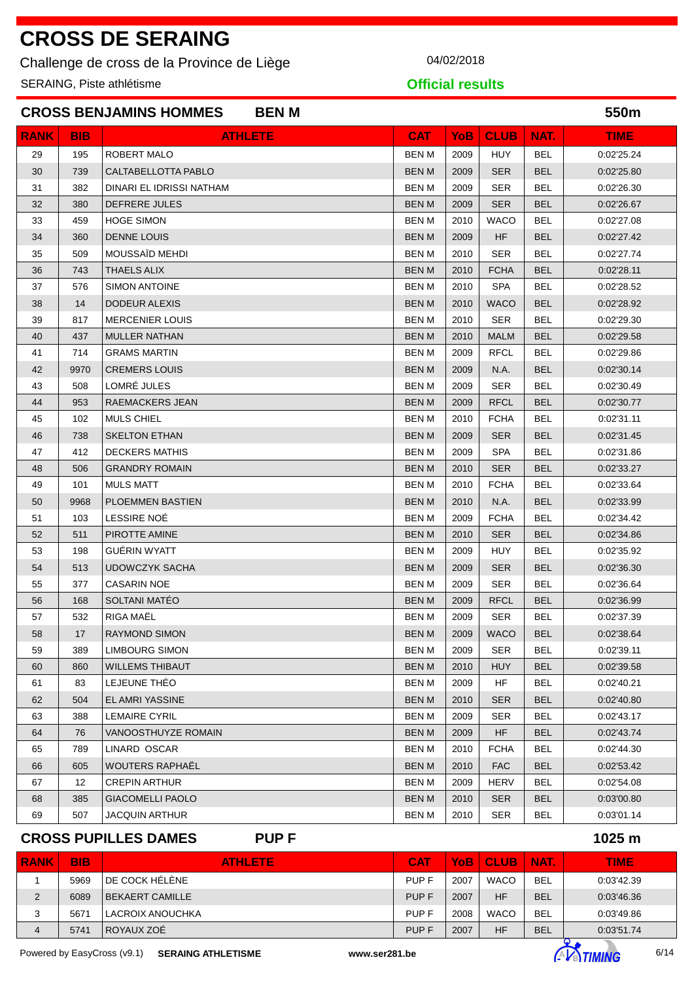Challenge de cross de la Province de Liège **04/02/2018** 

SERAING, Piste athlétisme

## **CROSS BENJAMINS HOMMES BEN M 550m**

**Official results**

|             |            | <b>CROSS BENJAMINS HOMMES</b><br><b>BEN M</b> |              |            |             |            | 550m        |
|-------------|------------|-----------------------------------------------|--------------|------------|-------------|------------|-------------|
| <b>RANK</b> | <b>BIB</b> | <b>ATHLETE</b>                                | <b>CAT</b>   | <b>YoB</b> | <b>CLUB</b> | NAT.       | <b>TIME</b> |
| 29          | 195        | <b>ROBERT MALO</b>                            | <b>BEN M</b> | 2009       | <b>HUY</b>  | <b>BEL</b> | 0:02'25.24  |
| 30          | 739        | CALTABELLOTTA PABLO                           | <b>BENM</b>  | 2009       | <b>SER</b>  | <b>BEL</b> | 0:02'25.80  |
| 31          | 382        | DINARI EL IDRISSI NATHAM                      | <b>BENM</b>  | 2009       | <b>SER</b>  | <b>BEL</b> | 0:02'26.30  |
| 32          | 380        | DEFRERE JULES                                 | <b>BENM</b>  | 2009       | <b>SER</b>  | <b>BEL</b> | 0:02'26.67  |
| 33          | 459        | <b>HOGE SIMON</b>                             | <b>BEN M</b> | 2010       | <b>WACO</b> | <b>BEL</b> | 0.0227.08   |
| 34          | 360        | <b>DENNE LOUIS</b>                            | <b>BEN M</b> | 2009       | <b>HF</b>   | <b>BEL</b> | 0:02'27.42  |
| 35          | 509        | <b>MOUSSAÏD MEHDI</b>                         | <b>BENM</b>  | 2010       | <b>SER</b>  | <b>BEL</b> | 0:02'27.74  |
| 36          | 743        | <b>THAELS ALIX</b>                            | <b>BEN M</b> | 2010       | <b>FCHA</b> | <b>BEL</b> | 0:02'28.11  |
| 37          | 576        | <b>SIMON ANTOINE</b>                          | <b>BENM</b>  | 2010       | <b>SPA</b>  | <b>BEL</b> | 0:02'28.52  |
| 38          | 14         | DODEUR ALEXIS                                 | BEN M        | 2010       | <b>WACO</b> | <b>BEL</b> | 0:02'28.92  |
| 39          | 817        | <b>MERCENIER LOUIS</b>                        | <b>BEN M</b> | 2010       | <b>SER</b>  | <b>BEL</b> | 0:02'29.30  |
| 40          | 437        | <b>MULLER NATHAN</b>                          | BEN M        | 2010       | <b>MALM</b> | <b>BEL</b> | 0:02'29.58  |
| 41          | 714        | <b>GRAMS MARTIN</b>                           | BEN M        | 2009       | <b>RFCL</b> | <b>BEL</b> | 0:02'29.86  |
| 42          | 9970       | <b>CREMERS LOUIS</b>                          | <b>BEN M</b> | 2009       | N.A.        | <b>BEL</b> | 0:02'30.14  |
| 43          | 508        | LOMRÉ JULES                                   | <b>BENM</b>  | 2009       | <b>SER</b>  | <b>BEL</b> | 0.02'30.49  |
| 44          | 953        | RAEMACKERS JEAN                               | <b>BEN M</b> | 2009       | <b>RFCL</b> | <b>BEL</b> | 0:02'30.77  |
| 45          | 102        | <b>MULS CHIEL</b>                             | BEN M        | 2010       | <b>FCHA</b> | <b>BEL</b> | 0:02'31.11  |
| 46          | 738        | <b>SKELTON ETHAN</b>                          | <b>BENM</b>  | 2009       | <b>SER</b>  | <b>BEL</b> | 0:02'31.45  |
| 47          | 412        | <b>DECKERS MATHIS</b>                         | <b>BEN M</b> | 2009       | <b>SPA</b>  | <b>BEL</b> | 0:02'31.86  |
| 48          | 506        | <b>GRANDRY ROMAIN</b>                         | BEN M        | 2010       | <b>SER</b>  | <b>BEL</b> | 0:02'33.27  |
| 49          | 101        | <b>MULS MATT</b>                              | BEN M        | 2010       | <b>FCHA</b> | <b>BEL</b> | 0:02'33.64  |
| 50          | 9968       | PLOEMMEN BASTIEN                              | <b>BEN M</b> | 2010       | N.A.        | <b>BEL</b> | 0:02'33.99  |
| 51          | 103        | LESSIRE NOÉ                                   | BEN M        | 2009       | <b>FCHA</b> | <b>BEL</b> | 0:02'34.42  |
| 52          | 511        | PIROTTE AMINE                                 | <b>BENM</b>  | 2010       | <b>SER</b>  | <b>BEL</b> | 0:02'34.86  |
| 53          | 198        | <b>GUÉRIN WYATT</b>                           | <b>BENM</b>  | 2009       | <b>HUY</b>  | <b>BEL</b> | 0:02'35.92  |
| 54          | 513        | <b>UDOWCZYK SACHA</b>                         | <b>BEN M</b> | 2009       | <b>SER</b>  | BEL        | 0:02'36.30  |
| 55          | 377        | <b>CASARIN NOE</b>                            | <b>BENM</b>  | 2009       | <b>SER</b>  | <b>BEL</b> | 0:02'36.64  |
| 56          | 168        | SOLTANI MATÉO                                 | <b>BEN M</b> | 2009       | <b>RFCL</b> | <b>BEL</b> | 0:02'36.99  |
| 57          | 532        | RIGA MAËL                                     | <b>BENM</b>  | 2009       | <b>SER</b>  | BEL        | 0:02'37.39  |
| 58          | 17         | <b>RAYMOND SIMON</b>                          | <b>BENM</b>  | 2009       | <b>WACO</b> | <b>BEL</b> | 0:02'38.64  |
| 59          | 389        | <b>LIMBOURG SIMON</b>                         | BEN M        | 2009       | <b>SER</b>  | <b>BEL</b> | 0:02'39.11  |
| 60          | 860        | <b>WILLEMS THIBAUT</b>                        | BEN M        | 2010       | <b>HUY</b>  | <b>BEL</b> | 0:02'39.58  |
| 61          | 83         | LEJEUNE THÉO                                  | BEN M        | 2009       | HF          | <b>BEL</b> | 0:02'40.21  |
| 62          | 504        | <b>EL AMRI YASSINE</b>                        | <b>BENM</b>  | 2010       | <b>SER</b>  | <b>BEL</b> | 0:02'40.80  |
| 63          | 388        | <b>LEMAIRE CYRIL</b>                          | <b>BEN M</b> | 2009       | <b>SER</b>  | <b>BEL</b> | 0:02'43.17  |
| 64          | 76         | VANOOSTHUYZE ROMAIN                           | <b>BENM</b>  | 2009       | HF.         | <b>BEL</b> | 0:02'43.74  |
| 65          | 789        | LINARD OSCAR                                  | BEN M        | 2010       | <b>FCHA</b> | BEL        | 0:02'44.30  |
| 66          | 605        | <b>WOUTERS RAPHAËL</b>                        | <b>BENM</b>  | 2010       | <b>FAC</b>  | <b>BEL</b> | 0:02'53.42  |
| 67          | 12         | <b>CREPIN ARTHUR</b>                          | BEN M        | 2009       | HERV        | <b>BEL</b> | 0:02'54.08  |
| 68          | 385        | <b>GIACOMELLI PAOLO</b>                       | <b>BENM</b>  | 2010       | <b>SER</b>  | <b>BEL</b> | 0:03'00.80  |
| 69          | 507        | JACQUIN ARTHUR                                | <b>BENM</b>  | 2010       | <b>SER</b>  | <b>BEL</b> | 0:03'01.14  |

### **CROSS PUPILLES DAMES PUP F 1025 m**

| <b>RANK</b>    | <b>BIB</b> | <b>ATHLETE</b>              | <b>CAT</b>       | YoB. | <b>CLUB</b> | <b>NAT.</b> | <b>TIME</b> |
|----------------|------------|-----------------------------|------------------|------|-------------|-------------|-------------|
|                | 5969       | <sup>∣</sup> DE COCK HÉLÈNE | <b>PUPF</b>      | 2007 | <b>WACO</b> | <b>BEL</b>  | 0:03'42.39  |
| $\overline{2}$ | 6089       | BEKAERT CAMILLE             | <b>PUPF</b>      | 2007 | HF          | <b>BEL</b>  | 0:03'46.36  |
| ີ<br>ບ         | 5671       | LACROIX ANOUCHKA            | <b>PUPF</b>      | 2008 | <b>WACO</b> | <b>BEL</b>  | 0:03'49.86  |
| 4              | 5741       | ROYAUX ZOE                  | PUP <sub>F</sub> | 2007 | HF          | <b>BEL</b>  | 0:03'51.74  |

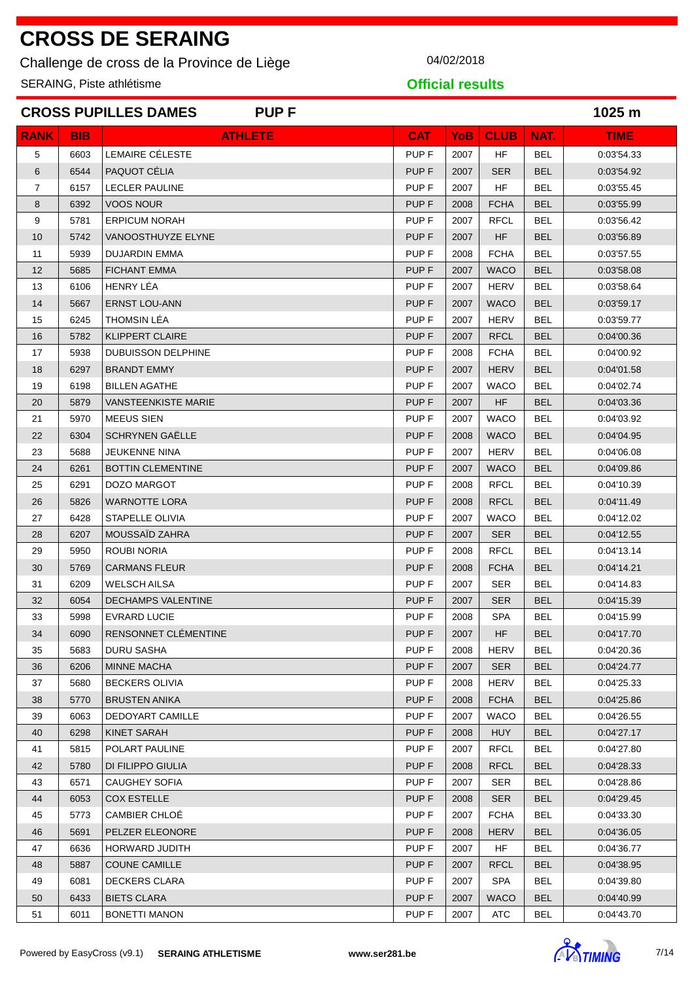Challenge de cross de la Province de Liège **04/02/2018** 

SERAING, Piste athlétisme

**Official results**

|             |            | <b>CROSS PUPILLES DAMES</b><br><b>PUPF</b> |                  |            |             |            | 1025 m      |
|-------------|------------|--------------------------------------------|------------------|------------|-------------|------------|-------------|
| <b>RANK</b> | <b>BIB</b> | <b>ATHLETE</b>                             | <b>CAT</b>       | <b>YoB</b> | <b>CLUB</b> | NAT.       | <b>TIME</b> |
| 5           | 6603       | LEMAIRE CÉLESTE                            | PUP <sub>F</sub> | 2007       | <b>HF</b>   | <b>BEL</b> | 0.03'54.33  |
| 6           | 6544       | PAQUOT CÉLIA                               | PUP <sub>F</sub> | 2007       | <b>SER</b>  | <b>BEL</b> | 0:03'54.92  |
| 7           | 6157       | <b>LECLER PAULINE</b>                      | PUP <sub>F</sub> | 2007       | <b>HF</b>   | <b>BEL</b> | 0:03'55.45  |
| 8           | 6392       | <b>VOOS NOUR</b>                           | PUP <sub>F</sub> | 2008       | <b>FCHA</b> | <b>BEL</b> | 0:03'55.99  |
| 9           | 5781       | <b>ERPICUM NORAH</b>                       | PUP <sub>F</sub> | 2007       | <b>RFCL</b> | <b>BEL</b> | 0.03'56.42  |
| 10          | 5742       | VANOOSTHUYZE ELYNE                         | PUP <sub>F</sub> | 2007       | <b>HF</b>   | <b>BEL</b> | 0.03'56.89  |
| 11          | 5939       | <b>DUJARDIN EMMA</b>                       | PUP <sub>F</sub> | 2008       | <b>FCHA</b> | <b>BEL</b> | 0.03'57.55  |
| 12          | 5685       | <b>FICHANT EMMA</b>                        | PUP <sub>F</sub> | 2007       | <b>WACO</b> | <b>BEL</b> | 0.03'58.08  |
| 13          | 6106       | <b>HENRY LÉA</b>                           | PUP <sub>F</sub> | 2007       | <b>HERV</b> | <b>BEL</b> | 0:03'58.64  |
| 14          | 5667       | <b>ERNST LOU-ANN</b>                       | PUP <sub>F</sub> | 2007       | <b>WACO</b> | <b>BEL</b> | 0:03'59.17  |
| 15          | 6245       | THOMSIN LÉA                                | PUP <sub>F</sub> | 2007       | HERV        | <b>BEL</b> | 0:03'59.77  |
| 16          | 5782       | <b>KLIPPERT CLAIRE</b>                     | PUP <sub>F</sub> | 2007       | <b>RFCL</b> | <b>BEL</b> | 0:04'00.36  |
| 17          | 5938       | <b>DUBUISSON DELPHINE</b>                  | PUP <sub>F</sub> | 2008       | <b>FCHA</b> | <b>BEL</b> | 0:04'00.92  |
| 18          | 6297       | <b>BRANDT EMMY</b>                         | PUP <sub>F</sub> | 2007       | <b>HERV</b> | <b>BEL</b> | 0.04'01.58  |
| 19          | 6198       | <b>BILLEN AGATHE</b>                       | PUP <sub>F</sub> | 2007       | <b>WACO</b> | <b>BEL</b> | 0:04'02.74  |
| 20          | 5879       | <b>VANSTEENKISTE MARIE</b>                 | PUP <sub>F</sub> | 2007       | <b>HF</b>   | <b>BEL</b> | 0:04'03.36  |
| 21          | 5970       | <b>MEEUS SIEN</b>                          | PUP <sub>F</sub> | 2007       | <b>WACO</b> | <b>BEL</b> | 0:04'03.92  |
| 22          | 6304       | SCHRYNEN GAËLLE                            | PUP <sub>F</sub> | 2008       | <b>WACO</b> | <b>BEL</b> | 0.04'04.95  |
| 23          | 5688       | <b>JEUKENNE NINA</b>                       | PUP <sub>F</sub> | 2007       | <b>HERV</b> | <b>BEL</b> | 0.04'06.08  |
| 24          | 6261       | <b>BOTTIN CLEMENTINE</b>                   | PUP <sub>F</sub> | 2007       | <b>WACO</b> | <b>BEL</b> | 0:04'09.86  |
| 25          | 6291       | DOZO MARGOT                                | PUP <sub>F</sub> | 2008       | <b>RFCL</b> | <b>BEL</b> | 0:04'10.39  |
| 26          | 5826       | <b>WARNOTTE LORA</b>                       | PUP <sub>F</sub> | 2008       | <b>RFCL</b> | <b>BEL</b> | 0:04'11.49  |
| 27          | 6428       | STAPELLE OLIVIA                            | PUP <sub>F</sub> | 2007       | <b>WACO</b> | <b>BEL</b> | 0:04'12.02  |
| 28          | 6207       | MOUSSAÏD ZAHRA                             | PUP <sub>F</sub> | 2007       | <b>SER</b>  | <b>BEL</b> | 0:04'12.55  |
| 29          | 5950       | <b>ROUBI NORIA</b>                         | PUP <sub>F</sub> | 2008       | <b>RFCL</b> | <b>BEL</b> | 0:04'13.14  |
| 30          | 5769       | <b>CARMANS FLEUR</b>                       | PUP <sub>F</sub> | 2008       | <b>FCHA</b> | <b>BEL</b> | 0:04'14.21  |
| 31          | 6209       | <b>WELSCH AILSA</b>                        | PUP <sub>F</sub> | 2007       | <b>SER</b>  | <b>BEL</b> | 0:04'14.83  |
| 32          | 6054       | <b>DECHAMPS VALENTINE</b>                  | PUP <sub>F</sub> | 2007       | <b>SER</b>  | <b>BEL</b> | 0:04'15.39  |
| 33          | 5998       | <b>EVRARD LUCIE</b>                        | PUP <sub>F</sub> | 2008       | <b>SPA</b>  | <b>BEL</b> | 0:04'15.99  |
| 34          | 6090       | RENSONNET CLÉMENTINE                       | PUP <sub>F</sub> | 2007       | HF.         | <b>BEL</b> | 0:04'17.70  |
| 35          | 5683       | DURU SASHA                                 | PUP <sub>F</sub> | 2008       | HERV        | <b>BEL</b> | 0:04'20.36  |
| 36          | 6206       | <b>MINNE MACHA</b>                         | PUP <sub>F</sub> | 2007       | <b>SER</b>  | <b>BEL</b> | 0:04'24.77  |
| 37          | 5680       | <b>BECKERS OLIVIA</b>                      | PUP <sub>F</sub> | 2008       | HERV        | <b>BEL</b> | 0:04'25.33  |
| 38          | 5770       | <b>BRUSTEN ANIKA</b>                       | PUP <sub>F</sub> | 2008       | <b>FCHA</b> | <b>BEL</b> | 0:04'25.86  |
| 39          | 6063       | <b>DEDOYART CAMILLE</b>                    | PUP <sub>F</sub> | 2007       | <b>WACO</b> | <b>BEL</b> | 0:04'26.55  |
| 40          | 6298       | KINET SARAH                                | PUP <sub>F</sub> | 2008       | <b>HUY</b>  | <b>BEL</b> | 0:04'27.17  |
| 41          | 5815       | POLART PAULINE                             | PUP <sub>F</sub> | 2007       | <b>RFCL</b> | <b>BEL</b> | 0:04'27.80  |
| 42          | 5780       | DI FILIPPO GIULIA                          | PUP <sub>F</sub> | 2008       | <b>RFCL</b> | <b>BEL</b> | 0:04'28.33  |
| 43          | 6571       | <b>CAUGHEY SOFIA</b>                       | PUP <sub>F</sub> | 2007       | <b>SER</b>  | <b>BEL</b> | 0:04'28.86  |
| 44          | 6053       | <b>COX ESTELLE</b>                         | PUP <sub>F</sub> | 2008       | <b>SER</b>  | <b>BEL</b> | 0:04'29.45  |
| 45          | 5773       | <b>CAMBIER CHLOÉ</b>                       | PUP <sub>F</sub> | 2007       | <b>FCHA</b> | <b>BEL</b> | 0:04'33.30  |
| 46          | 5691       | PELZER ELEONORE                            | PUP <sub>F</sub> | 2008       | <b>HERV</b> | <b>BEL</b> | 0:04'36.05  |
| 47          | 6636       | <b>HORWARD JUDITH</b>                      | PUP <sub>F</sub> | 2007       | HF.         | <b>BEL</b> | 0:04'36.77  |
| 48          | 5887       | <b>COUNE CAMILLE</b>                       | PUP <sub>F</sub> | 2007       | <b>RFCL</b> | <b>BEL</b> | 0:04'38.95  |
| 49          | 6081       | <b>DECKERS CLARA</b>                       | PUP <sub>F</sub> | 2007       | <b>SPA</b>  | <b>BEL</b> | 0:04'39.80  |
| 50          | 6433       | <b>BIETS CLARA</b>                         | PUP <sub>F</sub> | 2007       | <b>WACO</b> | <b>BEL</b> | 0:04'40.99  |
| 51          | 6011       | <b>BONETTI MANON</b>                       | PUP <sub>F</sub> | 2007       | ATC         | <b>BEL</b> | 0:04'43.70  |

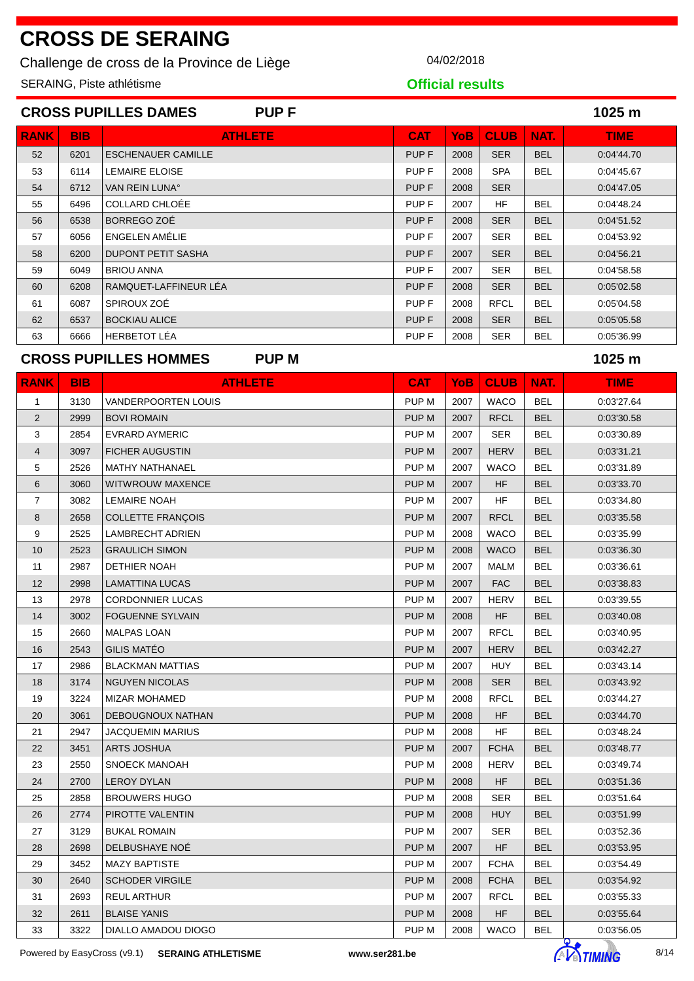Challenge de cross de la Province de Liège **04/02/2018** 

SERAING, Piste athlétisme

**Official results**

| <b>CROSS PUPILLES DAMES</b><br><b>PUPF</b><br>1025 m |            |                           |                  |            |             |            |             |
|------------------------------------------------------|------------|---------------------------|------------------|------------|-------------|------------|-------------|
| <b>RANK</b>                                          | <b>BIB</b> | <b>ATHLETE</b>            | <b>CAT</b>       | <b>YoB</b> | <b>CLUB</b> | NAT.       | <b>TIME</b> |
| 52                                                   | 6201       | <b>ESCHENAUER CAMILLE</b> | PUP <sub>F</sub> | 2008       | <b>SER</b>  | <b>BEL</b> | 0:04'44.70  |
| 53                                                   | 6114       | <b>LEMAIRE ELOISE</b>     | PUP F            | 2008       | <b>SPA</b>  | <b>BEL</b> | 0:04'45.67  |
| 54                                                   | 6712       | VAN REIN LUNA°            | PUP <sub>F</sub> | 2008       | <b>SER</b>  |            | 0:04'47.05  |
| 55                                                   | 6496       | COLLARD CHLOÉE            | PUP F            | 2007       | HF.         | <b>BEL</b> | 0:04'48.24  |
| 56                                                   | 6538       | BORREGO ZOÉ               | PUP <sub>F</sub> | 2008       | <b>SER</b>  | <b>BEL</b> | 0:04'51.52  |
| 57                                                   | 6056       | ENGELEN AMÉLIE            | PUP F            | 2007       | <b>SER</b>  | <b>BEL</b> | 0:04'53.92  |
| 58                                                   | 6200       | <b>DUPONT PETIT SASHA</b> | PUP F            | 2007       | <b>SER</b>  | <b>BEL</b> | 0:04'56.21  |
| 59                                                   | 6049       | <b>BRIOU ANNA</b>         | PUP F            | 2007       | <b>SER</b>  | <b>BEL</b> | 0:04'58.58  |
| 60                                                   | 6208       | RAMQUET-LAFFINEUR LÉA     | PUP <sub>F</sub> | 2008       | <b>SER</b>  | <b>BEL</b> | 0:05'02.58  |
| 61                                                   | 6087       | SPIROUX ZOÉ               | PUP F            | 2008       | <b>RFCL</b> | <b>BEL</b> | 0:05'04.58  |
| 62                                                   | 6537       | <b>BOCKIAU ALICE</b>      | PUP <sub>F</sub> | 2008       | <b>SER</b>  | <b>BEL</b> | 0:05'05.58  |
| 63                                                   | 6666       | <b>HERBETOT LÉA</b>       | PUP <sub>F</sub> | 2008       | <b>SER</b>  | <b>BEL</b> | 0:05'36.99  |

#### **CROSS PUPILLES HOMMES PUP M 1025 m**

| <b>RANK</b>    | <b>BIB</b> | <b>ATHLETE</b>             | <b>CAT</b>       | YoB. | <b>CLUB</b> | NAT.       | <b>TIME</b> |
|----------------|------------|----------------------------|------------------|------|-------------|------------|-------------|
| $\mathbf{1}$   | 3130       | <b>VANDERPOORTEN LOUIS</b> | PUP <sub>M</sub> | 2007 | <b>WACO</b> | <b>BEL</b> | 0:03'27.64  |
| $\overline{2}$ | 2999       | <b>BOVI ROMAIN</b>         | PUP M            | 2007 | <b>RFCL</b> | <b>BEL</b> | 0:03'30.58  |
| 3              | 2854       | EVRARD AYMERIC             | PUP M            | 2007 | <b>SER</b>  | <b>BEL</b> | 0:03'30.89  |
| $\overline{4}$ | 3097       | <b>FICHER AUGUSTIN</b>     | PUP <sub>M</sub> | 2007 | <b>HERV</b> | <b>BEL</b> | 0:03'31.21  |
| 5              | 2526       | <b>MATHY NATHANAEL</b>     | PUP <sub>M</sub> | 2007 | <b>WACO</b> | <b>BEL</b> | 0:03'31.89  |
| 6              | 3060       | <b>WITWROUW MAXENCE</b>    | PUP M            | 2007 | HF          | <b>BEL</b> | 0:03'33.70  |
| $\overline{7}$ | 3082       | <b>LEMAIRE NOAH</b>        | PUP <sub>M</sub> | 2007 | HF          | <b>BEL</b> | 0:03'34.80  |
| 8              | 2658       | <b>COLLETTE FRANÇOIS</b>   | PUP <sub>M</sub> | 2007 | <b>RFCL</b> | <b>BEL</b> | 0:03'35.58  |
| 9              | 2525       | LAMBRECHT ADRIEN           | PUP <sub>M</sub> | 2008 | <b>WACO</b> | <b>BEL</b> | 0:03'35.99  |
| 10             | 2523       | <b>GRAULICH SIMON</b>      | PUP M            | 2008 | <b>WACO</b> | <b>BEL</b> | 0:03'36.30  |
| 11             | 2987       | <b>DETHIER NOAH</b>        | PUP <sub>M</sub> | 2007 | <b>MALM</b> | <b>BEL</b> | 0:03'36.61  |
| 12             | 2998       | LAMATTINA LUCAS            | PUP M            | 2007 | <b>FAC</b>  | <b>BEL</b> | 0:03'38.83  |
| 13             | 2978       | <b>CORDONNIER LUCAS</b>    | PUP <sub>M</sub> | 2007 | <b>HERV</b> | <b>BEL</b> | 0:03'39.55  |
| 14             | 3002       | <b>FOGUENNE SYLVAIN</b>    | PUP M            | 2008 | <b>HF</b>   | <b>BEL</b> | 0:03'40.08  |
| 15             | 2660       | <b>MALPAS LOAN</b>         | PUP <sub>M</sub> | 2007 | <b>RFCL</b> | <b>BEL</b> | 0:03'40.95  |
| 16             | 2543       | <b>GILIS MATÉO</b>         | PUP M            | 2007 | <b>HERV</b> | <b>BEL</b> | 0:03'42.27  |
| 17             | 2986       | <b>BLACKMAN MATTIAS</b>    | PUP <sub>M</sub> | 2007 | <b>HUY</b>  | <b>BEL</b> | 0:03'43.14  |
| 18             | 3174       | <b>NGUYEN NICOLAS</b>      | PUP M            | 2008 | <b>SER</b>  | <b>BEL</b> | 0:03'43.92  |
| 19             | 3224       | <b>MIZAR MOHAMED</b>       | PUP <sub>M</sub> | 2008 | <b>RFCL</b> | <b>BEL</b> | 0:03'44.27  |
| 20             | 3061       | DEBOUGNOUX NATHAN          | PUP <sub>M</sub> | 2008 | <b>HF</b>   | <b>BEL</b> | 0:03'44.70  |
| 21             | 2947       | JACQUEMIN MARIUS           | PUP <sub>M</sub> | 2008 | <b>HF</b>   | <b>BEL</b> | 0:03'48.24  |
| 22             | 3451       | <b>ARTS JOSHUA</b>         | PUP <sub>M</sub> | 2007 | <b>FCHA</b> | <b>BEL</b> | 0:03'48.77  |
| 23             | 2550       | <b>SNOECK MANOAH</b>       | PUP <sub>M</sub> | 2008 | <b>HERV</b> | <b>BEL</b> | 0:03'49.74  |
| 24             | 2700       | <b>LEROY DYLAN</b>         | PUP M            | 2008 | <b>HF</b>   | <b>BEL</b> | 0:03'51.36  |
| 25             | 2858       | <b>BROUWERS HUGO</b>       | PUP <sub>M</sub> | 2008 | <b>SER</b>  | <b>BEL</b> | 0:03'51.64  |
| 26             | 2774       | PIROTTE VALENTIN           | PUP <sub>M</sub> | 2008 | <b>HUY</b>  | <b>BEL</b> | 0:03'51.99  |
| 27             | 3129       | <b>BUKAL ROMAIN</b>        | PUP <sub>M</sub> | 2007 | <b>SER</b>  | <b>BEL</b> | 0:03'52.36  |
| 28             | 2698       | DELBUSHAYE NOÉ             | PUP <sub>M</sub> | 2007 | <b>HF</b>   | <b>BEL</b> | 0:03'53.95  |
| 29             | 3452       | <b>MAZY BAPTISTE</b>       | PUP M            | 2007 | <b>FCHA</b> | <b>BEL</b> | 0:03'54.49  |
| 30             | 2640       | <b>SCHODER VIRGILE</b>     | PUP M            | 2008 | <b>FCHA</b> | <b>BEL</b> | 0:03'54.92  |
| 31             | 2693       | <b>REUL ARTHUR</b>         | PUP <sub>M</sub> | 2007 | <b>RFCL</b> | <b>BEL</b> | 0:03'55.33  |
| 32             | 2611       | <b>BLAISE YANIS</b>        | PUP M            | 2008 | HF          | <b>BEL</b> | 0:03'55.64  |
| 33             | 3322       | DIALLO AMADOU DIOGO        | PUP M            | 2008 | <b>WACO</b> | <b>BEL</b> | 0:03'56.05  |

Powered by EasyCross (v9.1) **SERAING ATHLETISME www.ser281.be CONTING 8/14** 

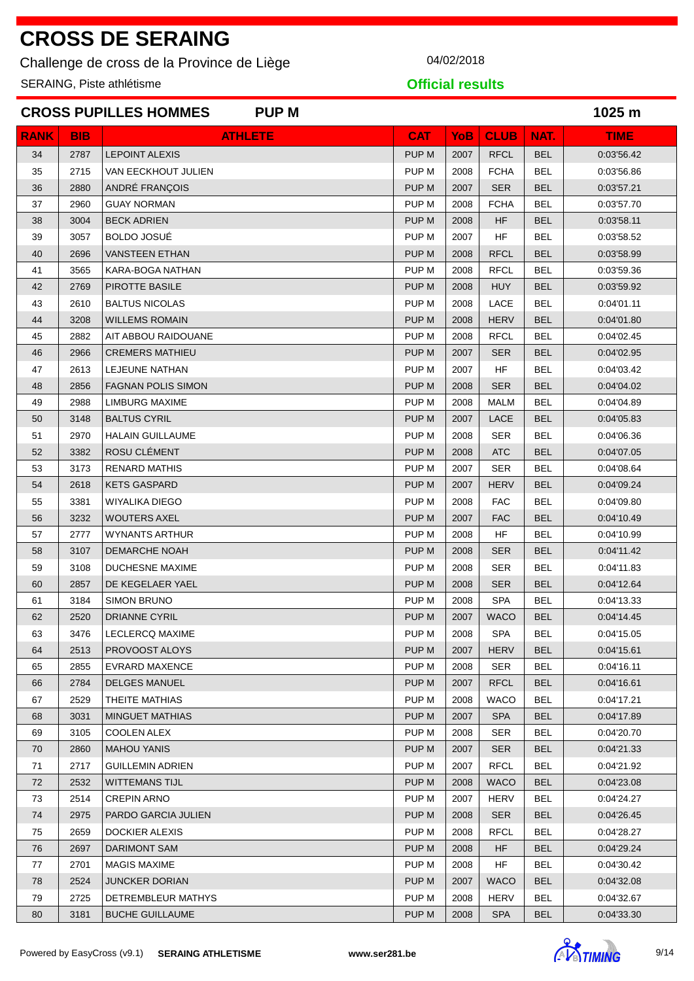Challenge de cross de la Province de Liège **04/02/2018** 

SERAING, Piste athlétisme

**Official results**

|             |            | <b>CROSS PUPILLES HOMMES</b><br><b>PUPM</b> |                  |            |             |            | 1025 m      |
|-------------|------------|---------------------------------------------|------------------|------------|-------------|------------|-------------|
| <b>RANK</b> | <b>BIB</b> | <b>ATHLETE</b>                              | <b>CAT</b>       | <b>YoB</b> | <b>CLUB</b> | NAT.       | <b>TIME</b> |
| 34          | 2787       | <b>LEPOINT ALEXIS</b>                       | PUP M            | 2007       | <b>RFCL</b> | <b>BEL</b> | 0:03'56.42  |
| 35          | 2715       | VAN EECKHOUT JULIEN                         | PUP M            | 2008       | <b>FCHA</b> | <b>BEL</b> | 0:03'56.86  |
| 36          | 2880       | ANDRÉ FRANÇOIS                              | PUP M            | 2007       | <b>SER</b>  | <b>BEL</b> | 0:03'57.21  |
| 37          | 2960       | <b>GUAY NORMAN</b>                          | PUP M            | 2008       | <b>FCHA</b> | BEL        | 0:03'57.70  |
| 38          | 3004       | <b>BECK ADRIEN</b>                          | PUP M            | 2008       | HF          | <b>BEL</b> | 0:03'58.11  |
| 39          | 3057       | <b>BOLDO JOSUE</b>                          | PUP M            | 2007       | HF          | <b>BEL</b> | 0:03'58.52  |
| 40          | 2696       | <b>VANSTEEN ETHAN</b>                       | PUP M            | 2008       | <b>RFCL</b> | <b>BEL</b> | 0:03'58.99  |
| 41          | 3565       | KARA-BOGA NATHAN                            | PUP M            | 2008       | <b>RFCL</b> | <b>BEL</b> | 0:03'59.36  |
| 42          | 2769       | PIROTTE BASILE                              | PUP M            | 2008       | <b>HUY</b>  | <b>BEL</b> | 0:03'59.92  |
| 43          | 2610       | <b>BALTUS NICOLAS</b>                       | PUP M            | 2008       | LACE        | <b>BEL</b> | 0:04'01.11  |
| 44          | 3208       | <b>WILLEMS ROMAIN</b>                       | PUP <sub>M</sub> | 2008       | <b>HERV</b> | <b>BEL</b> | 0:04'01.80  |
| 45          | 2882       | AIT ABBOU RAIDOUANE                         | PUP M            | 2008       | <b>RFCL</b> | <b>BEL</b> | 0:04'02.45  |
| 46          | 2966       | <b>CREMERS MATHIEU</b>                      | PUP M            | 2007       | <b>SER</b>  | <b>BEL</b> | 0:04'02.95  |
| 47          | 2613       | LEJEUNE NATHAN                              | PUP M            | 2007       | <b>HF</b>   | <b>BEL</b> | 0:04'03.42  |
| 48          | 2856       | <b>FAGNAN POLIS SIMON</b>                   | PUP M            | 2008       | <b>SER</b>  | <b>BEL</b> | 0:04'04.02  |
| 49          | 2988       | LIMBURG MAXIME                              | PUP M            | 2008       | <b>MALM</b> | <b>BEL</b> | 0:04'04.89  |
| 50          | 3148       | <b>BALTUS CYRIL</b>                         | PUP M            | 2007       | <b>LACE</b> | <b>BEL</b> | 0:04'05.83  |
| 51          | 2970       | <b>HALAIN GUILLAUME</b>                     | PUP M            | 2008       | <b>SER</b>  | <b>BEL</b> | 0:04'06.36  |
| 52          | 3382       | ROSU CLÉMENT                                | PUP M            | 2008       | <b>ATC</b>  | <b>BEL</b> | 0:04'07.05  |
| 53          | 3173       | <b>RENARD MATHIS</b>                        | PUP M            | 2007       | <b>SER</b>  | <b>BEL</b> | 0:04'08.64  |
| 54          | 2618       | <b>KETS GASPARD</b>                         | PUP M            | 2007       | <b>HERV</b> | <b>BEL</b> | 0:04'09.24  |
| 55          | 3381       | WIYALIKA DIEGO                              | PUP M            | 2008       | <b>FAC</b>  | <b>BEL</b> | 0:04'09.80  |
| 56          | 3232       | <b>WOUTERS AXEL</b>                         | PUP M            | 2007       | <b>FAC</b>  | <b>BEL</b> | 0:04'10.49  |
| 57          | 2777       | WYNANTS ARTHUR                              | PUP M            | 2008       | HF          | <b>BEL</b> | 0:04'10.99  |
| 58          | 3107       | <b>DEMARCHE NOAH</b>                        | PUP M            | 2008       | <b>SER</b>  | <b>BEL</b> | 0:04'11.42  |
| 59          | 3108       | <b>DUCHESNE MAXIME</b>                      | PUP M            | 2008       | <b>SER</b>  | BEL        | 0:04'11.83  |
| 60          | 2857       | DE KEGELAER YAEL                            | PUP M            | 2008       | <b>SER</b>  | <b>BEL</b> | 0:04'12.64  |
| 61          | 3184       | <b>SIMON BRUNO</b>                          | PUP M            | 2008       | <b>SPA</b>  | <b>BEL</b> | 0:04'13.33  |
| 62          | 2520       | DRIANNE CYRIL                               | PUP M            | 2007       | <b>WACO</b> | <b>BEL</b> | 0:04'14.45  |
| 63          | 3476       | LECLERCQ MAXIME                             | PUP <sub>M</sub> | 2008       | <b>SPA</b>  | <b>BEL</b> | 0:04'15.05  |
| 64          | 2513       | PROVOOST ALOYS                              | PUP M            | 2007       | <b>HERV</b> | <b>BEL</b> | 0:04'15.61  |
| 65          | 2855       | EVRARD MAXENCE                              | PUP M            | 2008       | <b>SER</b>  | BEL        | 0:04'16.11  |
| 66          | 2784       | <b>DELGES MANUEL</b>                        | PUP M            | 2007       | <b>RFCL</b> | <b>BEL</b> | 0:04'16.61  |
| 67          | 2529       | THEITE MATHIAS                              | PUP M            | 2008       | <b>WACO</b> | <b>BEL</b> | 0:04'17.21  |
| 68          | 3031       | <b>MINGUET MATHIAS</b>                      | PUP M            | 2007       | <b>SPA</b>  | <b>BEL</b> | 0:04'17.89  |
| 69          | 3105       | COOLEN ALEX                                 | PUP M            | 2008       | <b>SER</b>  | <b>BEL</b> | 0:04'20.70  |
| 70          | 2860       | <b>MAHOU YANIS</b>                          | PUP M            | 2007       | <b>SER</b>  | <b>BEL</b> | 0:04'21.33  |
| 71          | 2717       | <b>GUILLEMIN ADRIEN</b>                     | PUP M            | 2007       | <b>RFCL</b> | <b>BEL</b> | 0:04'21.92  |
| 72          | 2532       | <b>WITTEMANS TIJL</b>                       | PUP M            | 2008       | <b>WACO</b> | <b>BEL</b> | 0:04'23.08  |
| 73          | 2514       | <b>CREPIN ARNO</b>                          | PUP M            | 2007       | <b>HERV</b> | <b>BEL</b> | 0:04'24.27  |
| 74          | 2975       | PARDO GARCIA JULIEN                         | PUP M            | 2008       | <b>SER</b>  | <b>BEL</b> | 0:04'26.45  |
| 75          | 2659       | DOCKIER ALEXIS                              | PUP M            | 2008       | <b>RFCL</b> | <b>BEL</b> | 0:04'28.27  |
| 76          | 2697       | <b>DARIMONT SAM</b>                         | PUP M            | 2008       | HF.         | <b>BEL</b> | 0:04'29.24  |
| 77          | 2701       | <b>MAGIS MAXIME</b>                         | PUP M            | 2008       | HF          | <b>BEL</b> | 0:04'30.42  |
| 78          | 2524       | <b>JUNCKER DORIAN</b>                       | PUP M            | 2007       | <b>WACO</b> | <b>BEL</b> | 0:04'32.08  |
| 79          | 2725       | DETREMBLEUR MATHYS                          | PUP M            | 2008       | HERV        | <b>BEL</b> | 0:04'32.67  |
| 80          | 3181       | <b>BUCHE GUILLAUME</b>                      | PUP M            | 2008       | <b>SPA</b>  | <b>BEL</b> | 0:04'33.30  |

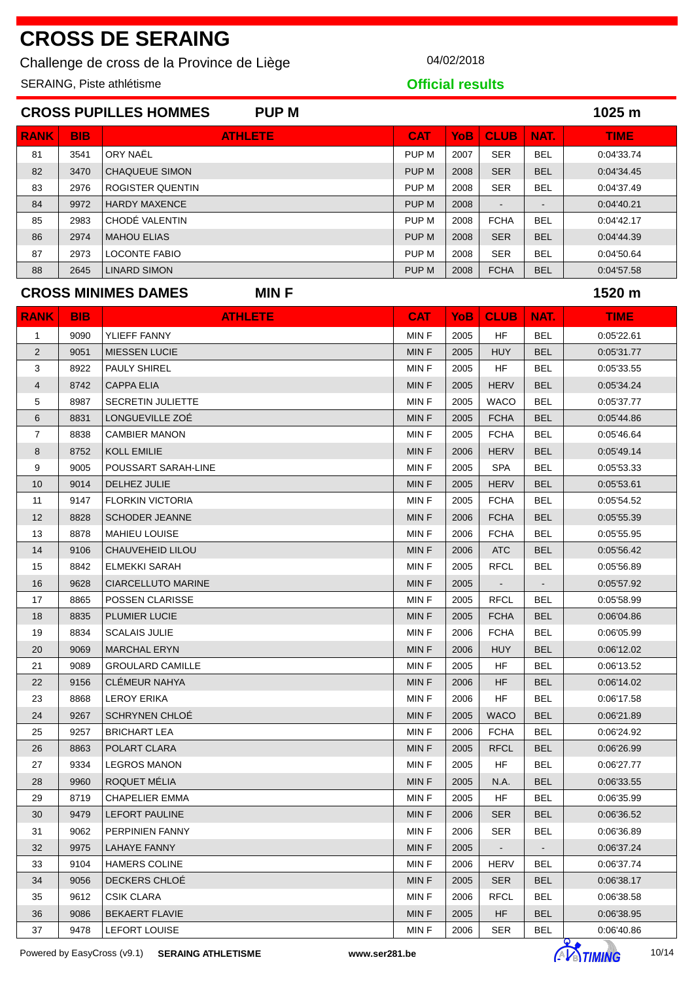Challenge de cross de la Province de Liège **04/02/2018** 

SERAING, Piste athlétisme

**Official results**

| <b>CROSS PUPILLES HOMMES</b><br><b>PUPM</b><br>1025 m |            |                         |            |            |             |            |             |
|-------------------------------------------------------|------------|-------------------------|------------|------------|-------------|------------|-------------|
| <b>RANK</b>                                           | <b>BIB</b> | <b>ATHLETE</b>          | <b>CAT</b> | <b>YoB</b> | <b>CLUB</b> | NAT.       | <b>TIME</b> |
| 81                                                    | 3541       | ORY NAËL                | PUP M      | 2007       | <b>SER</b>  | <b>BEL</b> | 0:04'33.74  |
| 82                                                    | 3470       | <b>CHAQUEUE SIMON</b>   | PUP M      | 2008       | <b>SER</b>  | <b>BEL</b> | 0:04'34.45  |
| 83                                                    | 2976       | <b>ROGISTER QUENTIN</b> | PUP M      | 2008       | <b>SER</b>  | <b>BEL</b> | 0:04'37.49  |
| 84                                                    | 9972       | <b>HARDY MAXENCE</b>    | PUP M      | 2008       |             |            | 0:04'40.21  |
| 85                                                    | 2983       | CHODÉ VALENTIN          | PUP M      | 2008       | <b>FCHA</b> | <b>BEL</b> | 0:04'42.17  |
| 86                                                    | 2974       | <b>MAHOU ELIAS</b>      | PUP M      | 2008       | <b>SER</b>  | <b>BEL</b> | 0:04'44.39  |
| 87                                                    | 2973       | <b>LOCONTE FABIO</b>    | PUP M      | 2008       | <b>SER</b>  | <b>BEL</b> | 0:04'50.64  |
| 88                                                    | 2645       | <b>LINARD SIMON</b>     | PUP M      | 2008       | <b>FCHA</b> | <b>BEL</b> | 0:04'57.58  |

#### **CROSS MINIMES DAMES MIN F 1520 m**

| <b>RANK</b>    | <b>BIB</b> | <b>ATHLETE</b>            | <b>CAT</b> | <b>YoB</b> | <b>CLUB</b>    | NAT.       | <b>TIME</b> |
|----------------|------------|---------------------------|------------|------------|----------------|------------|-------------|
| $\mathbf{1}$   | 9090       | YLIEFF FANNY              | MIN F      | 2005       | <b>HF</b>      | <b>BEL</b> | 0:05'22.61  |
| $\overline{2}$ | 9051       | <b>MIESSEN LUCIE</b>      | MIN F      | 2005       | <b>HUY</b>     | <b>BEL</b> | 0:05'31.77  |
| 3              | 8922       | PAULY SHIREL              | MIN F      | 2005       | <b>HF</b>      | <b>BEL</b> | 0:05'33.55  |
| $\overline{4}$ | 8742       | <b>CAPPA ELIA</b>         | MIN F      | 2005       | <b>HERV</b>    | <b>BEL</b> | 0:05'34.24  |
| 5              | 8987       | <b>SECRETIN JULIETTE</b>  | MIN F      | 2005       | <b>WACO</b>    | <b>BEL</b> | 0:05'37.77  |
| 6              | 8831       | LONGUEVILLE ZOÉ           | MIN F      | 2005       | <b>FCHA</b>    | <b>BEL</b> | 0:05'44.86  |
| $\overline{7}$ | 8838       | <b>CAMBIER MANON</b>      | MIN F      | 2005       | <b>FCHA</b>    | <b>BEL</b> | 0:05'46.64  |
| 8              | 8752       | <b>KOLL EMILIE</b>        | MIN F      | 2006       | <b>HERV</b>    | <b>BEL</b> | 0:05'49.14  |
| 9              | 9005       | POUSSART SARAH-LINE       | MIN F      | 2005       | <b>SPA</b>     | <b>BEL</b> | 0:05'53.33  |
| 10             | 9014       | DELHEZ JULIE              | MIN F      | 2005       | <b>HERV</b>    | <b>BEL</b> | 0:05'53.61  |
| 11             | 9147       | <b>FLORKIN VICTORIA</b>   | MIN F      | 2005       | <b>FCHA</b>    | <b>BEL</b> | 0:05'54.52  |
| 12             | 8828       | <b>SCHODER JEANNE</b>     | MIN F      | 2006       | <b>FCHA</b>    | <b>BEL</b> | 0:05'55.39  |
| 13             | 8878       | <b>MAHIEU LOUISE</b>      | MIN F      | 2006       | <b>FCHA</b>    | <b>BEL</b> | 0:05'55.95  |
| 14             | 9106       | CHAUVEHEID LILOU          | MIN F      | 2006       | <b>ATC</b>     | <b>BEL</b> | 0:05'56.42  |
| 15             | 8842       | <b>ELMEKKI SARAH</b>      | MIN F      | 2005       | <b>RFCL</b>    | <b>BEL</b> | 0:05'56.89  |
| 16             | 9628       | <b>CIARCELLUTO MARINE</b> | MIN F      | 2005       | $\blacksquare$ |            | 0:05'57.92  |
| 17             | 8865       | <b>POSSEN CLARISSE</b>    | MIN F      | 2005       | <b>RFCL</b>    | <b>BEL</b> | 0:05'58.99  |
| 18             | 8835       | PLUMIER LUCIE             | MIN F      | 2005       | <b>FCHA</b>    | <b>BEL</b> | 0:06'04.86  |
| 19             | 8834       | <b>SCALAIS JULIE</b>      | MIN F      | 2006       | <b>FCHA</b>    | <b>BEL</b> | 0:06'05.99  |
| 20             | 9069       | <b>MARCHAL ERYN</b>       | MIN F      | 2006       | <b>HUY</b>     | <b>BEL</b> | 0.06'12.02  |
| 21             | 9089       | <b>GROULARD CAMILLE</b>   | MIN F      | 2005       | <b>HF</b>      | <b>BEL</b> | 0:06'13.52  |
| 22             | 9156       | CLÉMEUR NAHYA             | MIN F      | 2006       | HF             | <b>BEL</b> | 0.06'14.02  |
| 23             | 8868       | <b>LEROY ERIKA</b>        | MIN F      | 2006       | <b>HF</b>      | <b>BEL</b> | 0:06'17.58  |
| 24             | 9267       | SCHRYNEN CHLOÉ            | MIN F      | 2005       | <b>WACO</b>    | <b>BEL</b> | 0:06'21.89  |
| 25             | 9257       | <b>BRICHART LEA</b>       | MIN F      | 2006       | <b>FCHA</b>    | BEL        | 0:06'24.92  |
| 26             | 8863       | POLART CLARA              | MIN F      | 2005       | <b>RFCL</b>    | <b>BEL</b> | 0:06'26.99  |
| 27             | 9334       | <b>LEGROS MANON</b>       | MIN F      | 2005       | <b>HF</b>      | <b>BEL</b> | 0:06'27.77  |
| 28             | 9960       | ROQUET MÉLIA              | MIN F      | 2005       | N.A.           | <b>BEL</b> | 0:06'33.55  |
| 29             | 8719       | <b>CHAPELIER EMMA</b>     | MIN F      | 2005       | HF             | <b>BEL</b> | 0:06'35.99  |
| 30             | 9479       | <b>LEFORT PAULINE</b>     | MINF       | 2006       | <b>SER</b>     | BEL        | 0:06'36.52  |
| 31             | 9062       | PERPINIEN FANNY           | MIN F      | 2006       | <b>SER</b>     | BEL        | 0:06'36.89  |
| 32             | 9975       | <b>LAHAYE FANNY</b>       | MIN F      | 2005       |                |            | 0:06'37.24  |
| 33             | 9104       | <b>HAMERS COLINE</b>      | MIN F      | 2006       | <b>HERV</b>    | BEL        | 0:06'37.74  |
| 34             | 9056       | DECKERS CHLOÉ             | MIN F      | 2005       | <b>SER</b>     | <b>BEL</b> | 0:06'38.17  |
| 35             | 9612       | <b>CSIK CLARA</b>         | MIN F      | 2006       | <b>RFCL</b>    | <b>BEL</b> | 0:06'38.58  |
| 36             | 9086       | <b>BEKAERT FLAVIE</b>     | MIN F      | 2005       | HF.            | <b>BEL</b> | 0:06'38.95  |
| 37             | 9478       | LEFORT LOUISE             | MIN F      | 2006       | <b>SER</b>     | <b>BEL</b> | 0:06'40.86  |

Powered by EasyCross (v9.1) **SERAING ATHLETISME www.ser281.be** 10/14

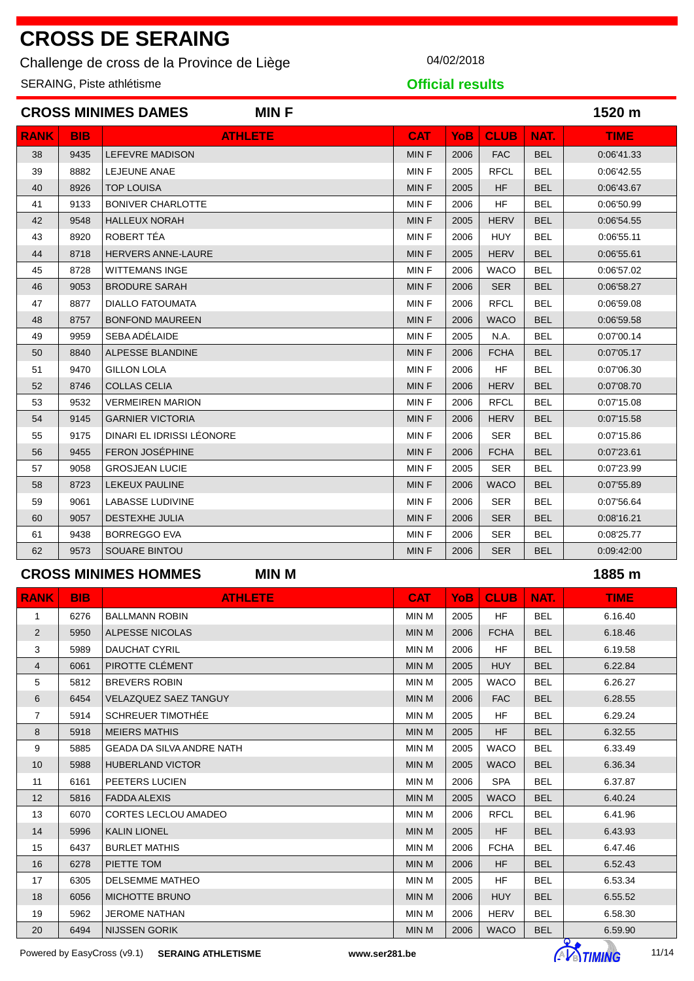Challenge de cross de la Province de Liège **04/02/2018** 

SERAING, Piste athlétisme

**Official results**

|             |            | <b>CROSS MINIMES DAMES</b><br><b>MINF</b> |             |            |             |            | 1520 m      |
|-------------|------------|-------------------------------------------|-------------|------------|-------------|------------|-------------|
| <b>RANK</b> | <b>BIB</b> | <b>ATHLETE</b>                            | <b>CAT</b>  | <b>YoB</b> | <b>CLUB</b> | NAT.       | <b>TIME</b> |
| 38          | 9435       | <b>LEFEVRE MADISON</b>                    | <b>MINF</b> | 2006       | <b>FAC</b>  | <b>BEL</b> | 0:06'41.33  |
| 39          | 8882       | LEJEUNE ANAE                              | MINF        | 2005       | <b>RFCL</b> | <b>BEL</b> | 0:06'42.55  |
| 40          | 8926       | <b>TOP LOUISA</b>                         | <b>MINF</b> | 2005       | <b>HF</b>   | <b>BEL</b> | 0:06'43.67  |
| 41          | 9133       | <b>BONIVER CHARLOTTE</b>                  | MIN F       | 2006       | <b>HF</b>   | <b>BEL</b> | 0:06'50.99  |
| 42          | 9548       | <b>HALLEUX NORAH</b>                      | <b>MINF</b> | 2005       | <b>HERV</b> | <b>BEL</b> | 0:06'54.55  |
| 43          | 8920       | ROBERT TÉA                                | MIN F       | 2006       | <b>HUY</b>  | <b>BEL</b> | 0:06'55.11  |
| 44          | 8718       | <b>HERVERS ANNE-LAURE</b>                 | <b>MINF</b> | 2005       | <b>HERV</b> | <b>BEL</b> | 0:06'55.61  |
| 45          | 8728       | <b>WITTEMANS INGE</b>                     | MIN F       | 2006       | <b>WACO</b> | <b>BEL</b> | 0:06'57.02  |
| 46          | 9053       | <b>BRODURE SARAH</b>                      | <b>MINF</b> | 2006       | <b>SER</b>  | <b>BEL</b> | 0:06'58.27  |
| 47          | 8877       | <b>DIALLO FATOUMATA</b>                   | MIN F       | 2006       | <b>RFCL</b> | <b>BEL</b> | 0:06'59.08  |
| 48          | 8757       | <b>BONFOND MAUREEN</b>                    | <b>MINF</b> | 2006       | <b>WACO</b> | <b>BEL</b> | 0:06'59.58  |
| 49          | 9959       | SEBA ADÉLAIDE                             | MIN F       | 2005       | N.A.        | <b>BEL</b> | 0:07'00.14  |
| 50          | 8840       | <b>ALPESSE BLANDINE</b>                   | <b>MINF</b> | 2006       | <b>FCHA</b> | <b>BEL</b> | 0:07'05.17  |
| 51          | 9470       | <b>GILLON LOLA</b>                        | MIN F       | 2006       | <b>HF</b>   | <b>BEL</b> | 0:07'06.30  |
| 52          | 8746       | <b>COLLAS CELIA</b>                       | <b>MINF</b> | 2006       | <b>HERV</b> | <b>BEL</b> | 0:07'08.70  |
| 53          | 9532       | <b>VERMEIREN MARION</b>                   | MIN F       | 2006       | <b>RFCL</b> | <b>BEL</b> | 0:07'15.08  |
| 54          | 9145       | <b>GARNIER VICTORIA</b>                   | <b>MINF</b> | 2006       | <b>HERV</b> | <b>BEL</b> | 0:07'15.58  |
| 55          | 9175       | DINARI EL IDRISSI LÉONORE                 | MIN F       | 2006       | <b>SER</b>  | <b>BEL</b> | 0:07'15.86  |
| 56          | 9455       | <b>FERON JOSÉPHINE</b>                    | <b>MINF</b> | 2006       | <b>FCHA</b> | <b>BEL</b> | 0:07'23.61  |
| 57          | 9058       | <b>GROSJEAN LUCIE</b>                     | MIN F       | 2005       | <b>SER</b>  | <b>BEL</b> | 0:07'23.99  |
| 58          | 8723       | LEKEUX PAULINE                            | <b>MINF</b> | 2006       | <b>WACO</b> | <b>BEL</b> | 0:07'55.89  |
| 59          | 9061       | <b>LABASSE LUDIVINE</b>                   | MIN F       | 2006       | <b>SER</b>  | <b>BEL</b> | 0:07'56.64  |
| 60          | 9057       | <b>DESTEXHE JULIA</b>                     | <b>MINF</b> | 2006       | <b>SER</b>  | <b>BEL</b> | 0:08'16.21  |
| 61          | 9438       | <b>BORREGGO EVA</b>                       | MIN F       | 2006       | <b>SER</b>  | <b>BEL</b> | 0:08'25.77  |
| 62          | 9573       | <b>SOUARE BINTOU</b>                      | <b>MINF</b> | 2006       | <b>SER</b>  | <b>BEL</b> | 0:09:42:00  |

#### **CROSS MINIMES HOMMES MIN M 1885 m**

|  | <b>MIN M</b> |  |
|--|--------------|--|
|  |              |  |

| <b>RANK</b>       | <b>BIB</b> | <b>ATHLETE</b>                   | <b>CAT</b>   | YoB  | <b>CLUB</b> | NAT.       | <b>TIME</b> |
|-------------------|------------|----------------------------------|--------------|------|-------------|------------|-------------|
| 1                 | 6276       | <b>BALLMANN ROBIN</b>            | <b>MIN M</b> | 2005 | <b>HF</b>   | <b>BEL</b> | 6.16.40     |
| 2                 | 5950       | ALPESSE NICOLAS                  | <b>MIN M</b> | 2006 | <b>FCHA</b> | <b>BEL</b> | 6.18.46     |
| 3                 | 5989       | <b>DAUCHAT CYRIL</b>             | <b>MIN M</b> | 2006 | <b>HF</b>   | <b>BEL</b> | 6.19.58     |
| 4                 | 6061       | PIROTTE CLÉMENT                  | <b>MIN M</b> | 2005 | <b>HUY</b>  | <b>BEL</b> | 6.22.84     |
| 5                 | 5812       | <b>BREVERS ROBIN</b>             | <b>MIN M</b> | 2005 | <b>WACO</b> | <b>BEL</b> | 6.26.27     |
| 6                 | 6454       | <b>VELAZQUEZ SAEZ TANGUY</b>     | <b>MIN M</b> | 2006 | <b>FAC</b>  | <b>BEL</b> | 6.28.55     |
| $\overline{7}$    | 5914       | <b>SCHREUER TIMOTHÉE</b>         | <b>MIN M</b> | 2005 | <b>HF</b>   | <b>BEL</b> | 6.29.24     |
| 8                 | 5918       | <b>MEIERS MATHIS</b>             | <b>MIN M</b> | 2005 | <b>HF</b>   | <b>BEL</b> | 6.32.55     |
| 9                 | 5885       | <b>GEADA DA SILVA ANDRE NATH</b> | <b>MIN M</b> | 2005 | <b>WACO</b> | <b>BEL</b> | 6.33.49     |
| 10                | 5988       | <b>HUBERLAND VICTOR</b>          | <b>MIN M</b> | 2005 | <b>WACO</b> | <b>BEL</b> | 6.36.34     |
| 11                | 6161       | PEETERS LUCIEN                   | <b>MIN M</b> | 2006 | <b>SPA</b>  | <b>BEL</b> | 6.37.87     |
| $12 \overline{ }$ | 5816       | <b>FADDA ALEXIS</b>              | <b>MIN M</b> | 2005 | <b>WACO</b> | <b>BEL</b> | 6.40.24     |
| 13                | 6070       | <b>CORTES LECLOU AMADEO</b>      | <b>MIN M</b> | 2006 | <b>RFCL</b> | <b>BEL</b> | 6.41.96     |
| 14                | 5996       | <b>KALIN LIONEL</b>              | <b>MIN M</b> | 2005 | <b>HF</b>   | <b>BEL</b> | 6.43.93     |
| 15                | 6437       | <b>BURLET MATHIS</b>             | <b>MIN M</b> | 2006 | <b>FCHA</b> | <b>BEL</b> | 6.47.46     |
| 16                | 6278       | PIETTE TOM                       | <b>MIN M</b> | 2006 | <b>HF</b>   | <b>BEL</b> | 6.52.43     |
| 17                | 6305       | <b>DELSEMME MATHEO</b>           | <b>MIN M</b> | 2005 | <b>HF</b>   | <b>BEL</b> | 6.53.34     |
| 18                | 6056       | <b>MICHOTTE BRUNO</b>            | <b>MIN M</b> | 2006 | <b>HUY</b>  | <b>BEL</b> | 6.55.52     |
| 19                | 5962       | <b>JEROME NATHAN</b>             | <b>MIN M</b> | 2006 | <b>HERV</b> | <b>BEL</b> | 6.58.30     |
| 20                | 6494       | <b>NIJSSEN GORIK</b>             | <b>MIN M</b> | 2006 | <b>WACO</b> | <b>BEL</b> | 6.59.90     |



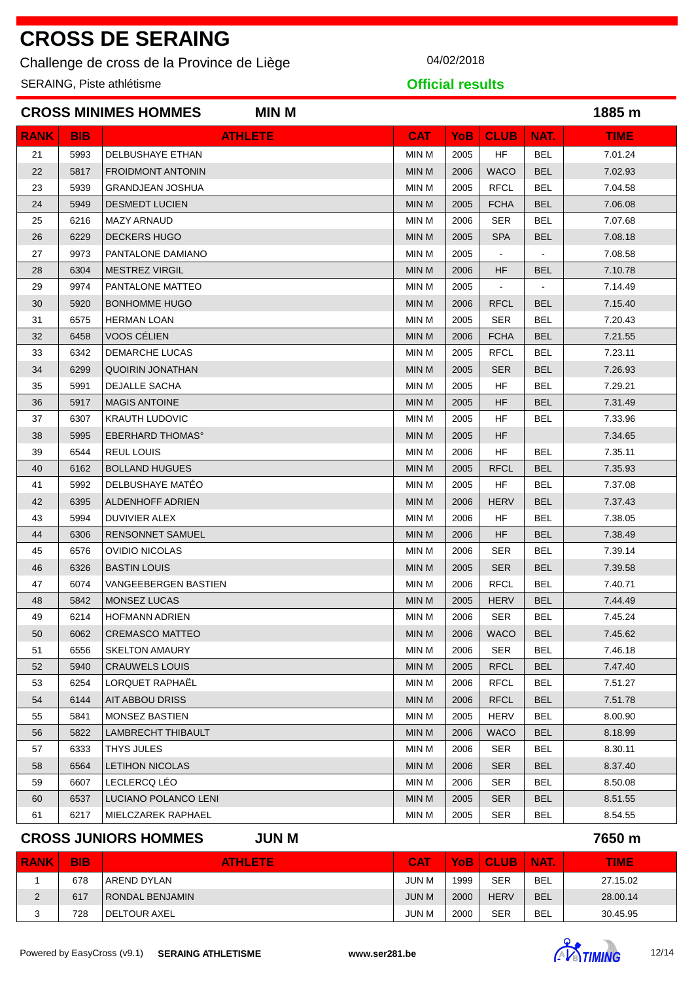Challenge de cross de la Province de Liège **04/02/2018** 

SERAING, Piste athlétisme

**Official results**

|             |            | <b>CROSS MINIMES HOMMES</b><br><b>MIN M</b> |              |            |                |            | 1885 m      |
|-------------|------------|---------------------------------------------|--------------|------------|----------------|------------|-------------|
| <b>RANK</b> | <b>BIB</b> | <b>ATHLETE</b>                              | <b>CAT</b>   | <b>YoB</b> | <b>CLUB</b>    | NAT.       | <b>TIME</b> |
| 21          | 5993       | <b>DELBUSHAYE ETHAN</b>                     | MIN M        | 2005       | <b>HF</b>      | BEL        | 7.01.24     |
| 22          | 5817       | <b>FROIDMONT ANTONIN</b>                    | <b>MIN M</b> | 2006       | <b>WACO</b>    | <b>BEL</b> | 7.02.93     |
| 23          | 5939       | <b>GRANDJEAN JOSHUA</b>                     | MIN M        | 2005       | <b>RFCL</b>    | BEL        | 7.04.58     |
| 24          | 5949       | <b>DESMEDT LUCIEN</b>                       | <b>MIN M</b> | 2005       | <b>FCHA</b>    | <b>BEL</b> | 7.06.08     |
| 25          | 6216       | <b>MAZY ARNAUD</b>                          | MIN M        | 2006       | <b>SER</b>     | BEL        | 7.07.68     |
| 26          | 6229       | <b>DECKERS HUGO</b>                         | <b>MIN M</b> | 2005       | <b>SPA</b>     | <b>BEL</b> | 7.08.18     |
| 27          | 9973       | PANTALONE DAMIANO                           | <b>MIN M</b> | 2005       |                |            | 7.08.58     |
| 28          | 6304       | <b>MESTREZ VIRGIL</b>                       | <b>MIN M</b> | 2006       | <b>HF</b>      | <b>BEL</b> | 7.10.78     |
| 29          | 9974       | PANTALONE MATTEO                            | MIN M        | 2005       | $\blacksquare$ |            | 7.14.49     |
| 30          | 5920       | <b>BONHOMME HUGO</b>                        | <b>MIN M</b> | 2006       | <b>RFCL</b>    | <b>BEL</b> | 7.15.40     |
| 31          | 6575       | <b>HERMAN LOAN</b>                          | MIN M        | 2005       | <b>SER</b>     | BEL        | 7.20.43     |
| 32          | 6458       | VOOS CÉLIEN                                 | <b>MIN M</b> | 2006       | <b>FCHA</b>    | <b>BEL</b> | 7.21.55     |
| 33          | 6342       | <b>DEMARCHE LUCAS</b>                       | MIN M        | 2005       | <b>RFCL</b>    | BEL        | 7.23.11     |
| 34          | 6299       | <b>QUOIRIN JONATHAN</b>                     | <b>MIN M</b> | 2005       | <b>SER</b>     | <b>BEL</b> | 7.26.93     |
| 35          | 5991       | <b>DEJALLE SACHA</b>                        | MIN M        | 2005       | HF             | <b>BEL</b> | 7.29.21     |
| 36          | 5917       | <b>MAGIS ANTOINE</b>                        | <b>MIN M</b> | 2005       | <b>HF</b>      | <b>BEL</b> | 7.31.49     |
| 37          | 6307       | <b>KRAUTH LUDOVIC</b>                       | MIN M        | 2005       | <b>HF</b>      | BEL        | 7.33.96     |
| 38          | 5995       | <b>EBERHARD THOMAS°</b>                     | <b>MIN M</b> | 2005       | <b>HF</b>      |            | 7.34.65     |
| 39          | 6544       | <b>REUL LOUIS</b>                           | <b>MIN M</b> | 2006       | <b>HF</b>      | <b>BEL</b> | 7.35.11     |
| 40          | 6162       | <b>BOLLAND HUGUES</b>                       | <b>MIN M</b> | 2005       | <b>RFCL</b>    | <b>BEL</b> | 7.35.93     |
| 41          | 5992       | DELBUSHAYE MATEO                            | MIN M        | 2005       | HF             | BEL        | 7.37.08     |
| 42          | 6395       | ALDENHOFF ADRIEN                            | <b>MIN M</b> | 2006       | <b>HERV</b>    | <b>BEL</b> | 7.37.43     |
| 43          | 5994       | DUVIVIER ALEX                               | MIN M        | 2006       | HF             | BEL        | 7.38.05     |
| 44          | 6306       | <b>RENSONNET SAMUEL</b>                     | <b>MIN M</b> | 2006       | <b>HF</b>      | <b>BEL</b> | 7.38.49     |
| 45          | 6576       | <b>OVIDIO NICOLAS</b>                       | MIN M        | 2006       | <b>SER</b>     | BEL        | 7.39.14     |
| 46          | 6326       | <b>BASTIN LOUIS</b>                         | <b>MIN M</b> | 2005       | <b>SER</b>     | <b>BEL</b> | 7.39.58     |
| 47          | 6074       | VANGEEBERGEN BASTIEN                        | MIN M        | 2006       | <b>RFCL</b>    | BEL        | 7.40.71     |
| 48          | 5842       | <b>MONSEZ LUCAS</b>                         | <b>MIN M</b> | 2005       | <b>HERV</b>    | <b>BEL</b> | 7.44.49     |
| 49          | 6214       | <b>HOFMANN ADRIEN</b>                       | MIN M        | 2006       | <b>SER</b>     | BEL        | 7.45.24     |
| 50          | 6062       | <b>CREMASCO MATTEO</b>                      | <b>MIN M</b> | 2006       | <b>WACO</b>    | <b>BEL</b> | 7.45.62     |
| 51          | 6556       | <b>SKELTON AMAURY</b>                       | <b>MIN M</b> | 2006       | <b>SER</b>     | BEL        | 7.46.18     |
| 52          | 5940       | <b>CRAUWELS LOUIS</b>                       | MIN M        | 2005       | <b>RFCL</b>    | <b>BEL</b> | 7.47.40     |
| 53          | 6254       | LORQUET RAPHAËL                             | MIN M        | 2006       | <b>RFCL</b>    | <b>BEL</b> | 7.51.27     |
| 54          | 6144       | <b>AIT ABBOU DRISS</b>                      | MIN M        | 2006       | <b>RFCL</b>    | <b>BEL</b> | 7.51.78     |
| 55          | 5841       | <b>MONSEZ BASTIEN</b>                       | MIN M        | 2005       | <b>HERV</b>    | <b>BEL</b> | 8.00.90     |
| 56          | 5822       | LAMBRECHT THIBAULT                          | MIN M        | 2006       | <b>WACO</b>    | <b>BEL</b> | 8.18.99     |
| 57          | 6333       | THYS JULES                                  | MIN M        | 2006       | <b>SER</b>     | <b>BEL</b> | 8.30.11     |
| 58          | 6564       | <b>LETIHON NICOLAS</b>                      | <b>MIN M</b> | 2006       | <b>SER</b>     | <b>BEL</b> | 8.37.40     |
| 59          | 6607       | LECLERCQ LÉO                                | MIN M        | 2006       | SER            | <b>BEL</b> | 8.50.08     |
| 60          | 6537       | LUCIANO POLANCO LENI                        | MIN M        | 2005       | <b>SER</b>     | <b>BEL</b> | 8.51.55     |
| 61          | 6217       | MIELCZAREK RAPHAEL                          | MIN M        | 2005       | <b>SER</b>     | <b>BEL</b> | 8.54.55     |

### **CROSS JUNIORS HOMMES JUN M 7650 m**

| <b>RANK</b>   | <b>BIB</b> | <b>ATHLETE</b>         | <b>CAT</b>   | YoB : | <b>CLUB</b> | <b>NAT.</b> | TIME     |
|---------------|------------|------------------------|--------------|-------|-------------|-------------|----------|
|               | 678        | AREND DYLAN            | JUN M        | 1999  | <b>SER</b>  | BEL         | 27.15.02 |
| $\Omega$<br>L | 617        | <b>RONDAL BENJAMIN</b> | <b>JUN M</b> | 2000  | <b>HERV</b> | <b>BEL</b>  | 28.00.14 |
| ົ<br>ູບ       | 728        | <b>DELTOUR AXEL</b>    | JUN M        | 2000  | <b>SER</b>  | <b>BEL</b>  | 30.45.95 |

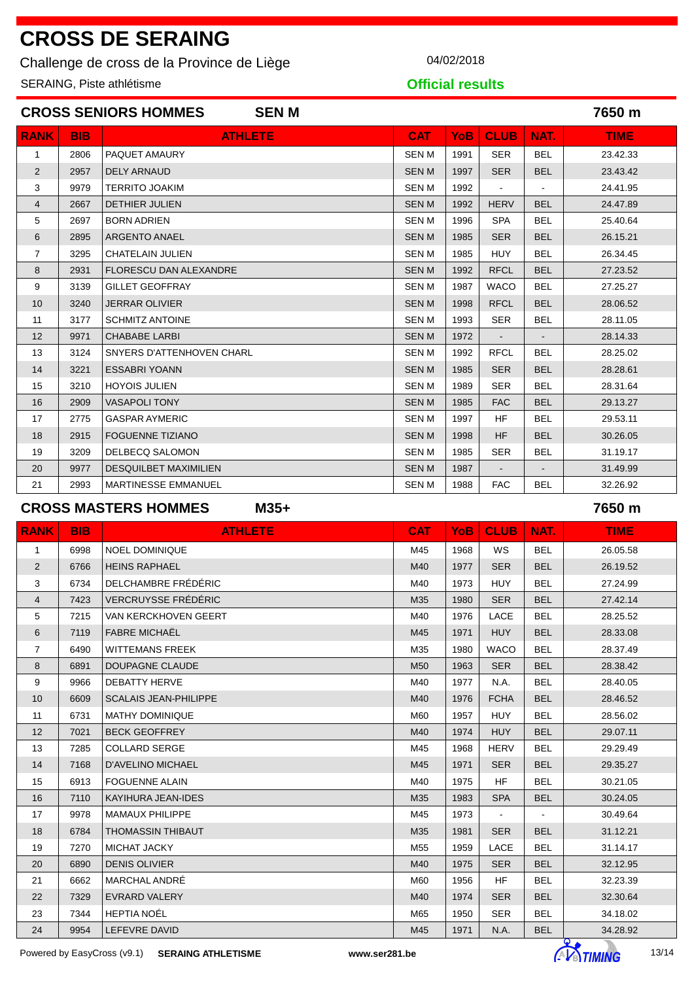Challenge de cross de la Province de Liège **04/02/2018** 

SERAING, Piste athlétisme

**Official results**

| <b>CROSS SENIORS HOMMES</b><br><b>SENM</b><br>7650 m |            |                               |              |      |                |                |             |
|------------------------------------------------------|------------|-------------------------------|--------------|------|----------------|----------------|-------------|
| <b>RANK</b>                                          | <b>BIB</b> | <b>ATHLETE</b>                | <b>CAT</b>   | YoB  | <b>CLUB</b>    | NAT.           | <b>TIME</b> |
| $\mathbf{1}$                                         | 2806       | PAQUET AMAURY                 | <b>SENM</b>  | 1991 | <b>SER</b>     | <b>BEL</b>     | 23.42.33    |
| $\overline{2}$                                       | 2957       | <b>DELY ARNAUD</b>            | <b>SENM</b>  | 1997 | <b>SER</b>     | <b>BEL</b>     | 23.43.42    |
| 3                                                    | 9979       | <b>TERRITO JOAKIM</b>         | <b>SENM</b>  | 1992 | $\blacksquare$ | $\sim$         | 24.41.95    |
| 4                                                    | 2667       | <b>DETHIER JULIEN</b>         | <b>SENM</b>  | 1992 | <b>HERV</b>    | <b>BEL</b>     | 24.47.89    |
| 5                                                    | 2697       | <b>BORN ADRIEN</b>            | <b>SEN M</b> | 1996 | <b>SPA</b>     | <b>BEL</b>     | 25.40.64    |
| 6                                                    | 2895       | ARGENTO ANAEL                 | <b>SENM</b>  | 1985 | <b>SER</b>     | <b>BEL</b>     | 26.15.21    |
| $\overline{7}$                                       | 3295       | <b>CHATELAIN JULIEN</b>       | <b>SENM</b>  | 1985 | <b>HUY</b>     | <b>BEL</b>     | 26.34.45    |
| 8                                                    | 2931       | <b>FLORESCU DAN ALEXANDRE</b> | <b>SENM</b>  | 1992 | <b>RFCL</b>    | <b>BEL</b>     | 27.23.52    |
| 9                                                    | 3139       | <b>GILLET GEOFFRAY</b>        | <b>SENM</b>  | 1987 | <b>WACO</b>    | <b>BEL</b>     | 27.25.27    |
| 10                                                   | 3240       | <b>JERRAR OLIVIER</b>         | <b>SENM</b>  | 1998 | <b>RFCL</b>    | <b>BEL</b>     | 28.06.52    |
| 11                                                   | 3177       | <b>SCHMITZ ANTOINE</b>        | <b>SENM</b>  | 1993 | <b>SER</b>     | <b>BEL</b>     | 28.11.05    |
| $12 \overline{ }$                                    | 9971       | <b>CHABABE LARBI</b>          | <b>SENM</b>  | 1972 | $\blacksquare$ | $\blacksquare$ | 28.14.33    |
| 13                                                   | 3124       | SNYERS D'ATTENHOVEN CHARL     | <b>SENM</b>  | 1992 | <b>RFCL</b>    | <b>BEL</b>     | 28.25.02    |
| 14                                                   | 3221       | <b>ESSABRI YOANN</b>          | <b>SENM</b>  | 1985 | <b>SER</b>     | <b>BEL</b>     | 28.28.61    |
| 15                                                   | 3210       | <b>HOYOIS JULIEN</b>          | <b>SENM</b>  | 1989 | <b>SER</b>     | <b>BEL</b>     | 28.31.64    |
| 16                                                   | 2909       | <b>VASAPOLI TONY</b>          | <b>SENM</b>  | 1985 | <b>FAC</b>     | <b>BEL</b>     | 29.13.27    |
| 17                                                   | 2775       | <b>GASPAR AYMERIC</b>         | <b>SENM</b>  | 1997 | <b>HF</b>      | <b>BEL</b>     | 29.53.11    |
| 18                                                   | 2915       | <b>FOGUENNE TIZIANO</b>       | <b>SENM</b>  | 1998 | <b>HF</b>      | <b>BEL</b>     | 30.26.05    |
| 19                                                   | 3209       | <b>DELBECQ SALOMON</b>        | <b>SENM</b>  | 1985 | <b>SER</b>     | <b>BEL</b>     | 31.19.17    |
| 20                                                   | 9977       | <b>DESQUILBET MAXIMILIEN</b>  | <b>SENM</b>  | 1987 | $\blacksquare$ | $\blacksquare$ | 31.49.99    |
| 21                                                   | 2993       | <b>MARTINESSE EMMANUEL</b>    | <b>SENM</b>  | 1988 | <b>FAC</b>     | <b>BEL</b>     | 32.26.92    |

#### **CROSS MASTERS HOMMES M35+ 7650 m**

| <b>RANK</b>       | <b>BIB</b> | <b>ATHLETE</b>               | <b>CAT</b>      | YoB I | <b>CLUB</b> | NAT.           | <b>TIME</b> |
|-------------------|------------|------------------------------|-----------------|-------|-------------|----------------|-------------|
| $\mathbf{1}$      | 6998       | <b>NOEL DOMINIQUE</b>        | M45             | 1968  | WS          | <b>BEL</b>     | 26.05.58    |
| $\overline{2}$    | 6766       | <b>HEINS RAPHAEL</b>         | M40             | 1977  | <b>SER</b>  | <b>BEL</b>     | 26.19.52    |
| 3                 | 6734       | DELCHAMBRE FRÉDÉRIC          | M40             | 1973  | <b>HUY</b>  | <b>BEL</b>     | 27.24.99    |
| $\overline{4}$    | 7423       | <b>VERCRUYSSE FRÉDÉRIC</b>   | M35             | 1980  | <b>SER</b>  | <b>BEL</b>     | 27.42.14    |
| 5                 | 7215       | VAN KERCKHOVEN GEERT         | M40             | 1976  | LACE        | <b>BEL</b>     | 28.25.52    |
| 6                 | 7119       | <b>FABRE MICHAËL</b>         | M45             | 1971  | <b>HUY</b>  | <b>BEL</b>     | 28.33.08    |
| $\overline{7}$    | 6490       | <b>WITTEMANS FREEK</b>       | M35             | 1980  | <b>WACO</b> | <b>BEL</b>     | 28.37.49    |
| 8                 | 6891       | <b>DOUPAGNE CLAUDE</b>       | M <sub>50</sub> | 1963  | <b>SER</b>  | <b>BEL</b>     | 28.38.42    |
| 9                 | 9966       | <b>DEBATTY HERVE</b>         | M40             | 1977  | <b>N.A.</b> | <b>BEL</b>     | 28.40.05    |
| 10                | 6609       | <b>SCALAIS JEAN-PHILIPPE</b> | M40             | 1976  | <b>FCHA</b> | <b>BEL</b>     | 28.46.52    |
| 11                | 6731       | <b>MATHY DOMINIQUE</b>       | M60             | 1957  | <b>HUY</b>  | <b>BEL</b>     | 28.56.02    |
| $12 \overline{ }$ | 7021       | <b>BECK GEOFFREY</b>         | M40             | 1974  | <b>HUY</b>  | <b>BEL</b>     | 29.07.11    |
| 13                | 7285       | <b>COLLARD SERGE</b>         | M45             | 1968  | <b>HERV</b> | <b>BEL</b>     | 29.29.49    |
| 14                | 7168       | <b>D'AVELINO MICHAEL</b>     | M45             | 1971  | <b>SER</b>  | <b>BEL</b>     | 29.35.27    |
| 15                | 6913       | <b>FOGUENNE ALAIN</b>        | M40             | 1975  | HF.         | BEL            | 30.21.05    |
| 16                | 7110       | KAYIHURA JEAN-IDES           | M35             | 1983  | <b>SPA</b>  | <b>BEL</b>     | 30.24.05    |
| 17                | 9978       | <b>MAMAUX PHILIPPE</b>       | M45             | 1973  |             | $\blacksquare$ | 30.49.64    |
| 18                | 6784       | <b>THOMASSIN THIBAUT</b>     | M35             | 1981  | <b>SER</b>  | <b>BEL</b>     | 31.12.21    |
| 19                | 7270       | <b>MICHAT JACKY</b>          | M55             | 1959  | LACE        | <b>BEL</b>     | 31.14.17    |
| 20                | 6890       | <b>DENIS OLIVIER</b>         | M40             | 1975  | <b>SER</b>  | <b>BEL</b>     | 32.12.95    |
| 21                | 6662       | <b>MARCHAL ANDRÉ</b>         | M60             | 1956  | <b>HF</b>   | <b>BEL</b>     | 32.23.39    |
| 22                | 7329       | <b>EVRARD VALERY</b>         | M40             | 1974  | <b>SER</b>  | <b>BEL</b>     | 32.30.64    |
| 23                | 7344       | <b>HEPTIA NOÉL</b>           | M65             | 1950  | <b>SER</b>  | <b>BEL</b>     | 34.18.02    |
| 24                | 9954       | LEFEVRE DAVID                | M45             | 1971  | N.A.        | BEL            | 34.28.92    |